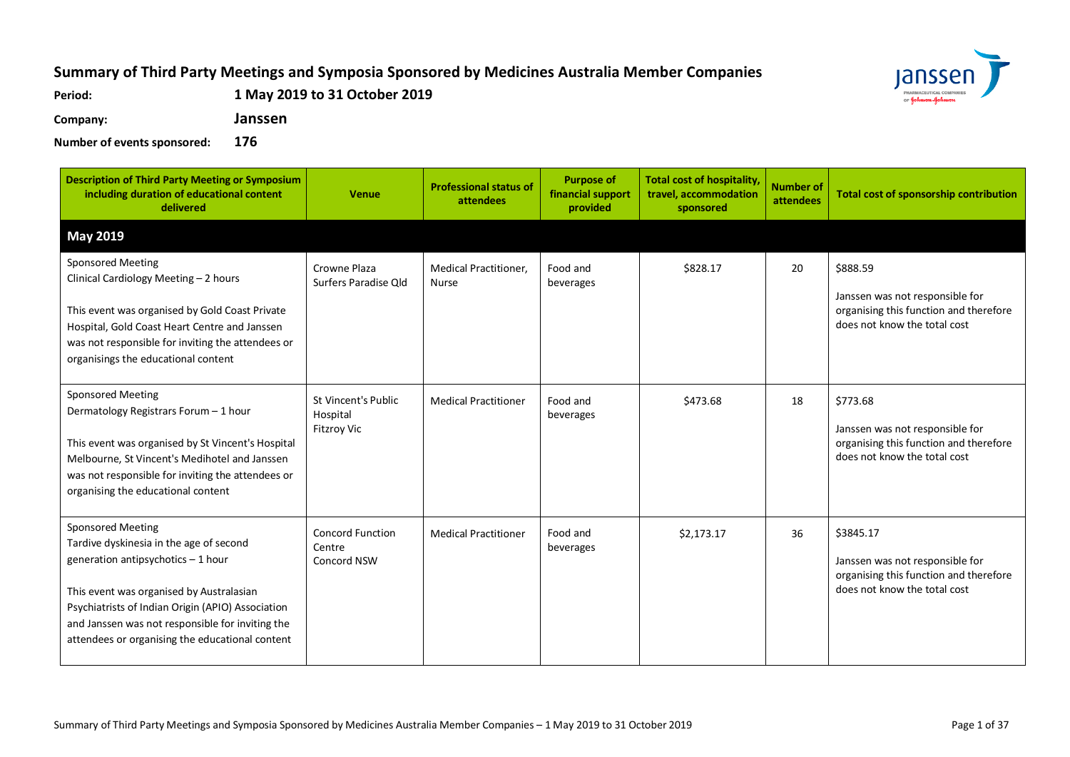## **Summary of Third Party Meetings and Symposia Sponsored by Medicines Australia Member Companies**

**Period: 1 May 2019 to 31 October 2019**

**Company: Janssen**



**Number of events sponsored: 176**

| <b>Description of Third Party Meeting or Symposium</b><br>including duration of educational content<br>delivered                                                                                                                                                                                                  | <b>Venue</b>                                                 | <b>Professional status of</b><br>attendees   | <b>Purpose of</b><br>financial support<br>provided | <b>Total cost of hospitality,</b><br>travel, accommodation<br>sponsored | <b>Number of</b><br>attendees | <b>Total cost of sponsorship contribution</b>                                                                          |
|-------------------------------------------------------------------------------------------------------------------------------------------------------------------------------------------------------------------------------------------------------------------------------------------------------------------|--------------------------------------------------------------|----------------------------------------------|----------------------------------------------------|-------------------------------------------------------------------------|-------------------------------|------------------------------------------------------------------------------------------------------------------------|
| <b>May 2019</b>                                                                                                                                                                                                                                                                                                   |                                                              |                                              |                                                    |                                                                         |                               |                                                                                                                        |
| <b>Sponsored Meeting</b><br>Clinical Cardiology Meeting - 2 hours<br>This event was organised by Gold Coast Private<br>Hospital, Gold Coast Heart Centre and Janssen<br>was not responsible for inviting the attendees or<br>organisings the educational content                                                  | Crowne Plaza<br>Surfers Paradise Old                         | <b>Medical Practitioner,</b><br><b>Nurse</b> | Food and<br>beverages                              | \$828.17                                                                | 20                            | \$888.59<br>Janssen was not responsible for<br>organising this function and therefore<br>does not know the total cost  |
| <b>Sponsored Meeting</b><br>Dermatology Registrars Forum - 1 hour<br>This event was organised by St Vincent's Hospital<br>Melbourne, St Vincent's Medihotel and Janssen<br>was not responsible for inviting the attendees or<br>organising the educational content                                                | <b>St Vincent's Public</b><br>Hospital<br><b>Fitzroy Vic</b> | <b>Medical Practitioner</b>                  | Food and<br>beverages                              | \$473.68                                                                | 18                            | \$773.68<br>Janssen was not responsible for<br>organising this function and therefore<br>does not know the total cost  |
| <b>Sponsored Meeting</b><br>Tardive dyskinesia in the age of second<br>generation antipsychotics - 1 hour<br>This event was organised by Australasian<br>Psychiatrists of Indian Origin (APIO) Association<br>and Janssen was not responsible for inviting the<br>attendees or organising the educational content | <b>Concord Function</b><br>Centre<br><b>Concord NSW</b>      | <b>Medical Practitioner</b>                  | Food and<br>beverages                              | \$2,173.17                                                              | 36                            | \$3845.17<br>Janssen was not responsible for<br>organising this function and therefore<br>does not know the total cost |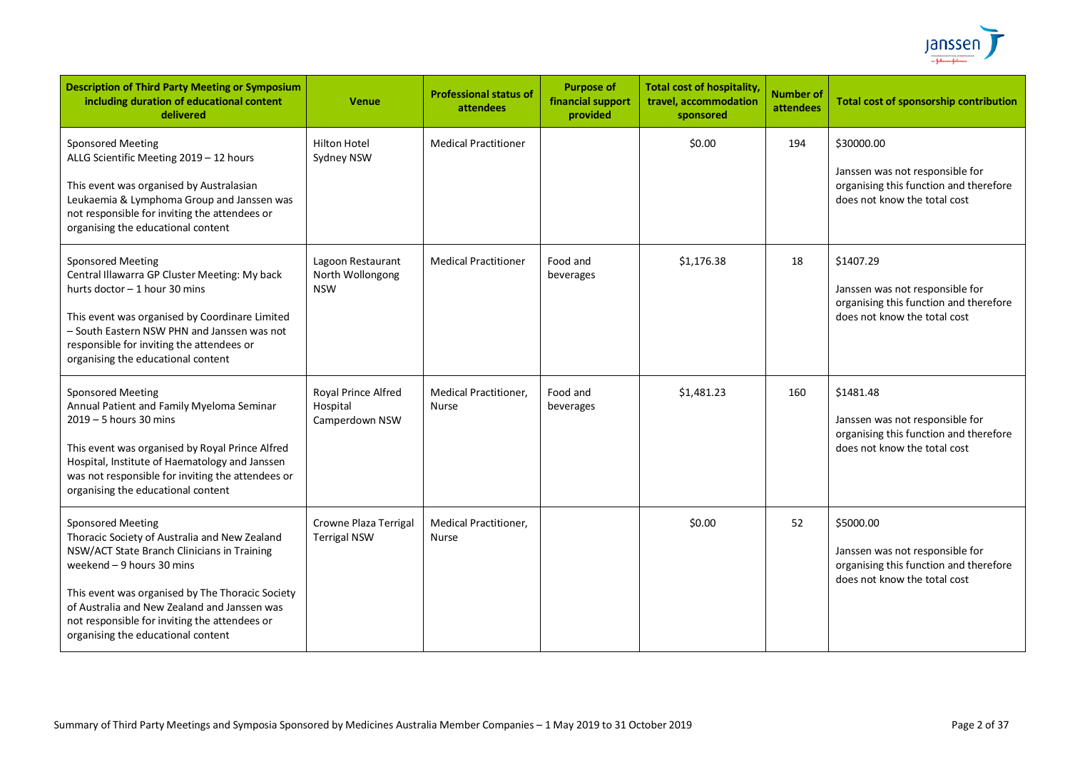

| <b>Description of Third Party Meeting or Symposium</b><br>including duration of educational content<br>delivered                                                                                                                                                                                                                                  | <b>Venue</b>                                        | <b>Professional status of</b><br>attendees | <b>Purpose of</b><br>financial support<br>provided | <b>Total cost of hospitality</b><br>travel, accommodation<br>sponsored | <b>Number of</b><br>attendees | <b>Total cost of sponsorship contribution</b>                                                                           |
|---------------------------------------------------------------------------------------------------------------------------------------------------------------------------------------------------------------------------------------------------------------------------------------------------------------------------------------------------|-----------------------------------------------------|--------------------------------------------|----------------------------------------------------|------------------------------------------------------------------------|-------------------------------|-------------------------------------------------------------------------------------------------------------------------|
| <b>Sponsored Meeting</b><br>ALLG Scientific Meeting 2019 - 12 hours<br>This event was organised by Australasian<br>Leukaemia & Lymphoma Group and Janssen was<br>not responsible for inviting the attendees or<br>organising the educational content                                                                                              | <b>Hilton Hotel</b><br>Sydney NSW                   | <b>Medical Practitioner</b>                |                                                    | \$0.00                                                                 | 194                           | \$30000.00<br>Janssen was not responsible for<br>organising this function and therefore<br>does not know the total cost |
| <b>Sponsored Meeting</b><br>Central Illawarra GP Cluster Meeting: My back<br>hurts doctor - 1 hour 30 mins<br>This event was organised by Coordinare Limited<br>- South Eastern NSW PHN and Janssen was not<br>responsible for inviting the attendees or<br>organising the educational content                                                    | Lagoon Restaurant<br>North Wollongong<br><b>NSW</b> | <b>Medical Practitioner</b>                | Food and<br>beverages                              | \$1,176.38                                                             | 18                            | \$1407.29<br>Janssen was not responsible for<br>organising this function and therefore<br>does not know the total cost  |
| <b>Sponsored Meeting</b><br>Annual Patient and Family Myeloma Seminar<br>$2019 - 5$ hours 30 mins<br>This event was organised by Royal Prince Alfred<br>Hospital, Institute of Haematology and Janssen<br>was not responsible for inviting the attendees or<br>organising the educational content                                                 | Royal Prince Alfred<br>Hospital<br>Camperdown NSW   | <b>Medical Practitioner.</b><br>Nurse      | Food and<br>beverages                              | \$1,481.23                                                             | 160                           | \$1481.48<br>Janssen was not responsible for<br>organising this function and therefore<br>does not know the total cost  |
| <b>Sponsored Meeting</b><br>Thoracic Society of Australia and New Zealand<br>NSW/ACT State Branch Clinicians in Training<br>weekend $-9$ hours 30 mins<br>This event was organised by The Thoracic Society<br>of Australia and New Zealand and Janssen was<br>not responsible for inviting the attendees or<br>organising the educational content | Crowne Plaza Terrigal<br><b>Terrigal NSW</b>        | <b>Medical Practitioner,</b><br>Nurse      |                                                    | \$0.00                                                                 | 52                            | \$5000.00<br>Janssen was not responsible for<br>organising this function and therefore<br>does not know the total cost  |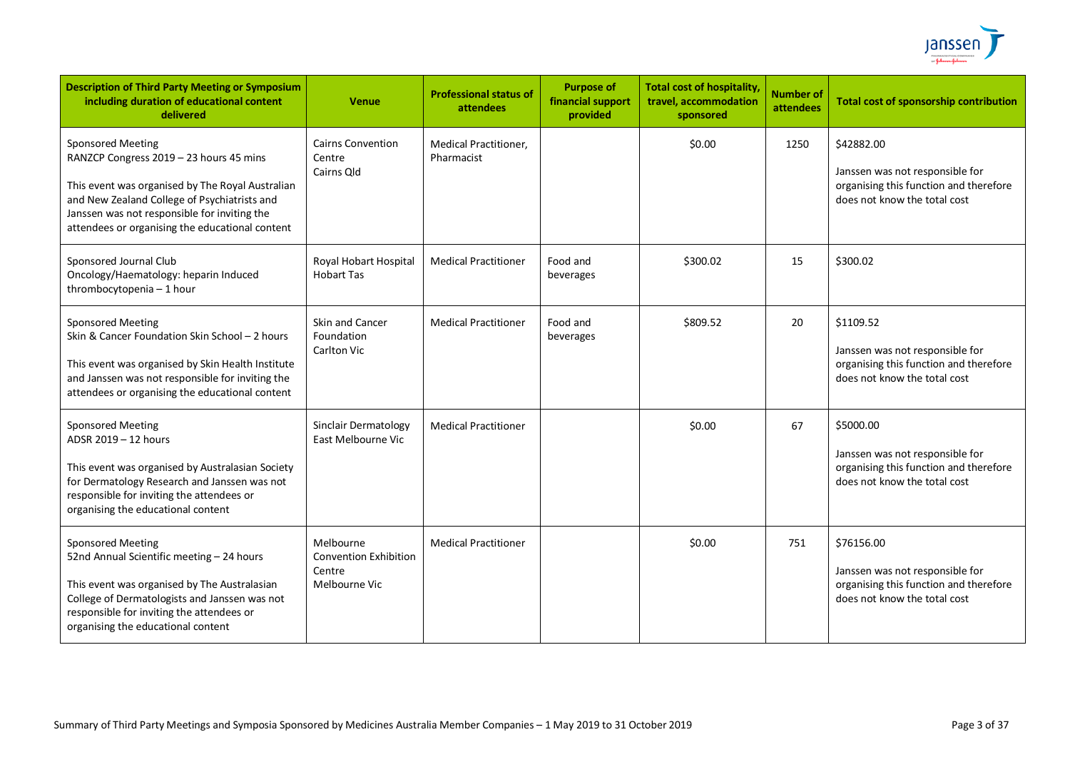

| <b>Description of Third Party Meeting or Symposium</b><br>including duration of educational content<br>delivered                                                                                                                                                           | <b>Venue</b>                                                         | <b>Professional status of</b><br>attendees | <b>Purpose of</b><br>financial support<br>provided | <b>Total cost of hospitality</b><br>travel, accommodation<br>sponsored | <b>Number of</b><br>attendees | <b>Total cost of sponsorship contribution</b>                                                                           |
|----------------------------------------------------------------------------------------------------------------------------------------------------------------------------------------------------------------------------------------------------------------------------|----------------------------------------------------------------------|--------------------------------------------|----------------------------------------------------|------------------------------------------------------------------------|-------------------------------|-------------------------------------------------------------------------------------------------------------------------|
| <b>Sponsored Meeting</b><br>RANZCP Congress 2019 - 23 hours 45 mins<br>This event was organised by The Royal Australian<br>and New Zealand College of Psychiatrists and<br>Janssen was not responsible for inviting the<br>attendees or organising the educational content | <b>Cairns Convention</b><br>Centre<br>Cairns Old                     | <b>Medical Practitioner.</b><br>Pharmacist |                                                    | \$0.00                                                                 | 1250                          | \$42882.00<br>Janssen was not responsible for<br>organising this function and therefore<br>does not know the total cost |
| Sponsored Journal Club<br>Oncology/Haematology: heparin Induced<br>thrombocytopenia - 1 hour                                                                                                                                                                               | Royal Hobart Hospital<br><b>Hobart Tas</b>                           | <b>Medical Practitioner</b>                | Food and<br>beverages                              | \$300.02                                                               | 15                            | \$300.02                                                                                                                |
| <b>Sponsored Meeting</b><br>Skin & Cancer Foundation Skin School - 2 hours<br>This event was organised by Skin Health Institute<br>and Janssen was not responsible for inviting the<br>attendees or organising the educational content                                     | Skin and Cancer<br>Foundation<br>Carlton Vic                         | <b>Medical Practitioner</b>                | Food and<br>beverages                              | \$809.52                                                               | 20                            | \$1109.52<br>Janssen was not responsible for<br>organising this function and therefore<br>does not know the total cost  |
| <b>Sponsored Meeting</b><br>ADSR 2019 - 12 hours<br>This event was organised by Australasian Society<br>for Dermatology Research and Janssen was not<br>responsible for inviting the attendees or<br>organising the educational content                                    | Sinclair Dermatology<br>East Melbourne Vic                           | <b>Medical Practitioner</b>                |                                                    | \$0.00                                                                 | 67                            | \$5000.00<br>Janssen was not responsible for<br>organising this function and therefore<br>does not know the total cost  |
| <b>Sponsored Meeting</b><br>52nd Annual Scientific meeting - 24 hours<br>This event was organised by The Australasian<br>College of Dermatologists and Janssen was not<br>responsible for inviting the attendees or<br>organising the educational content                  | Melbourne<br><b>Convention Exhibition</b><br>Centre<br>Melbourne Vic | <b>Medical Practitioner</b>                |                                                    | \$0.00                                                                 | 751                           | \$76156.00<br>Janssen was not responsible for<br>organising this function and therefore<br>does not know the total cost |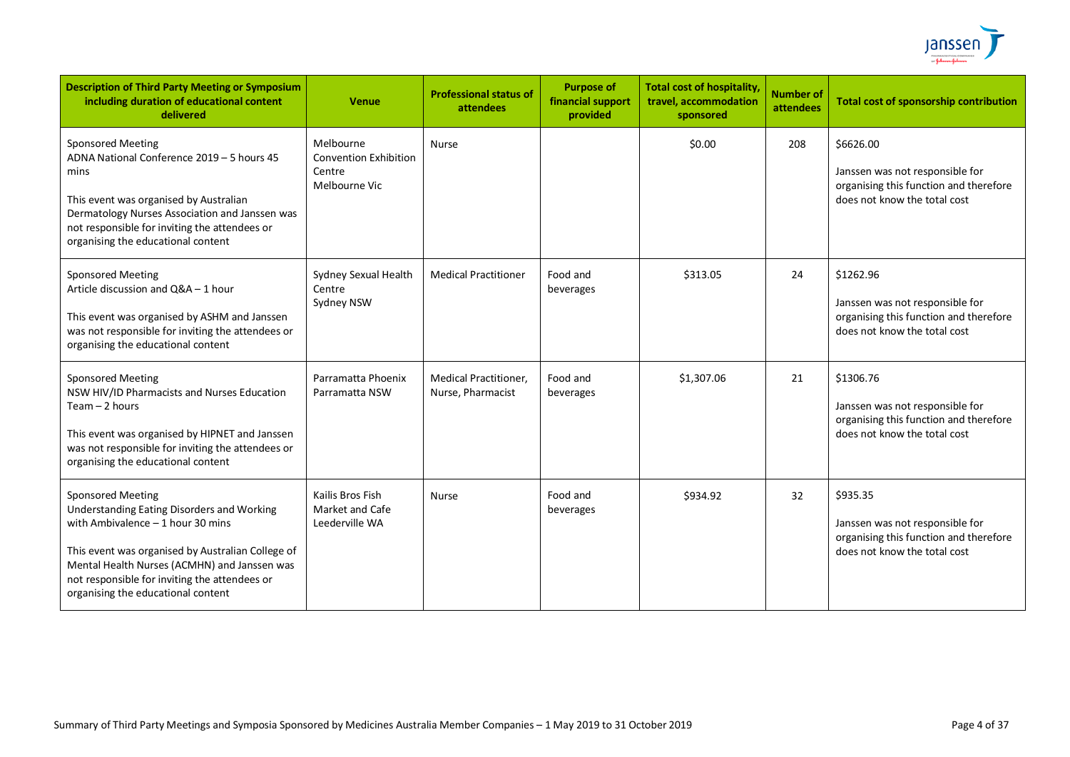

| <b>Description of Third Party Meeting or Symposium</b><br>including duration of educational content<br>delivered                                                                                                                                                                                         | Venue                                                                | <b>Professional status of</b><br>attendees        | <b>Purpose of</b><br>financial support<br>provided | <b>Total cost of hospitality</b><br>travel, accommodation<br>sponsored | <b>Number of</b><br>attendees | <b>Total cost of sponsorship contribution</b>                                                                          |
|----------------------------------------------------------------------------------------------------------------------------------------------------------------------------------------------------------------------------------------------------------------------------------------------------------|----------------------------------------------------------------------|---------------------------------------------------|----------------------------------------------------|------------------------------------------------------------------------|-------------------------------|------------------------------------------------------------------------------------------------------------------------|
| <b>Sponsored Meeting</b><br>ADNA National Conference 2019 - 5 hours 45<br>mins<br>This event was organised by Australian<br>Dermatology Nurses Association and Janssen was<br>not responsible for inviting the attendees or<br>organising the educational content                                        | Melbourne<br><b>Convention Exhibition</b><br>Centre<br>Melbourne Vic | <b>Nurse</b>                                      |                                                    | \$0.00                                                                 | 208                           | \$6626.00<br>Janssen was not responsible for<br>organising this function and therefore<br>does not know the total cost |
| <b>Sponsored Meeting</b><br>Article discussion and Q&A - 1 hour<br>This event was organised by ASHM and Janssen<br>was not responsible for inviting the attendees or<br>organising the educational content                                                                                               | Sydney Sexual Health<br>Centre<br>Sydney NSW                         | <b>Medical Practitioner</b>                       | Food and<br>beverages                              | \$313.05                                                               | 24                            | \$1262.96<br>Janssen was not responsible for<br>organising this function and therefore<br>does not know the total cost |
| <b>Sponsored Meeting</b><br>NSW HIV/ID Pharmacists and Nurses Education<br>Team - 2 hours<br>This event was organised by HIPNET and Janssen<br>was not responsible for inviting the attendees or<br>organising the educational content                                                                   | Parramatta Phoenix<br>Parramatta NSW                                 | <b>Medical Practitioner,</b><br>Nurse, Pharmacist | Food and<br>beverages                              | \$1,307.06                                                             | 21                            | \$1306.76<br>Janssen was not responsible for<br>organising this function and therefore<br>does not know the total cost |
| <b>Sponsored Meeting</b><br>Understanding Eating Disorders and Working<br>with Ambivalence $-1$ hour 30 mins<br>This event was organised by Australian College of<br>Mental Health Nurses (ACMHN) and Janssen was<br>not responsible for inviting the attendees or<br>organising the educational content | Kailis Bros Fish<br>Market and Cafe<br>Leederville WA                | <b>Nurse</b>                                      | Food and<br>beverages                              | \$934.92                                                               | 32                            | \$935.35<br>Janssen was not responsible for<br>organising this function and therefore<br>does not know the total cost  |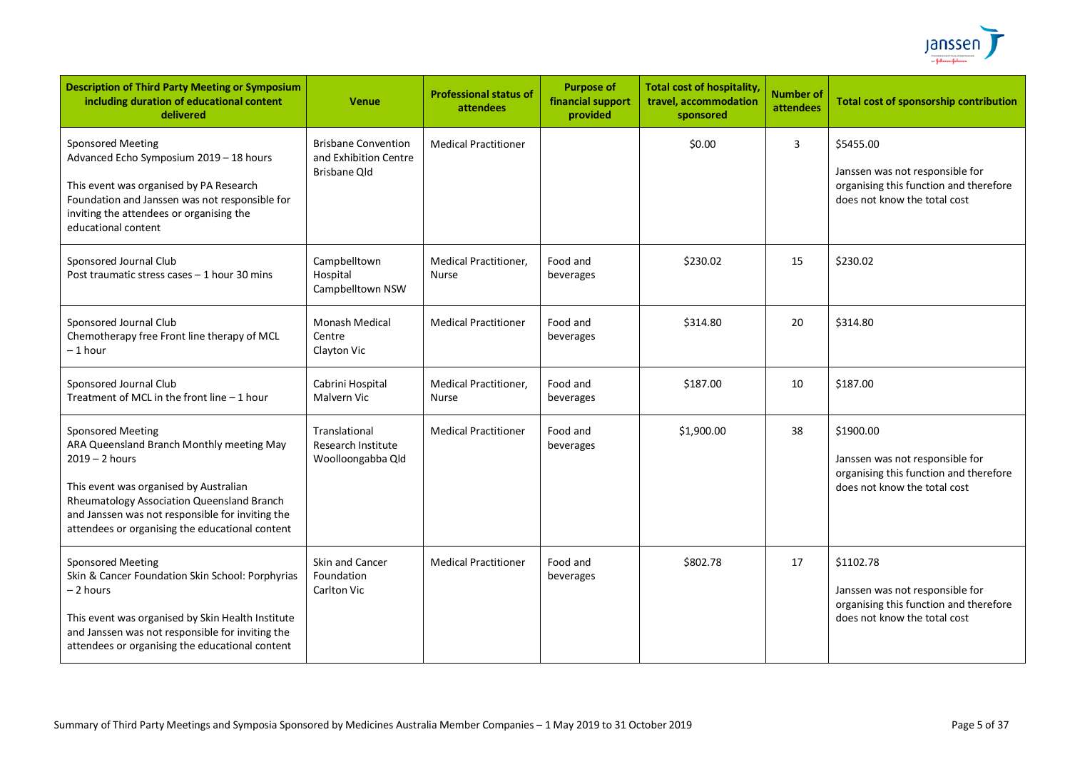

| <b>Description of Third Party Meeting or Symposium</b><br>including duration of educational content<br>delivered                                                                                                                                                                         | <b>Venue</b>                                                               | <b>Professional status of</b><br>attendees | <b>Purpose of</b><br>financial support<br>provided | <b>Total cost of hospitality,</b><br>travel, accommodation<br>sponsored | <b>Number of</b><br><b>attendees</b> | <b>Total cost of sponsorship contribution</b>                                                                          |
|------------------------------------------------------------------------------------------------------------------------------------------------------------------------------------------------------------------------------------------------------------------------------------------|----------------------------------------------------------------------------|--------------------------------------------|----------------------------------------------------|-------------------------------------------------------------------------|--------------------------------------|------------------------------------------------------------------------------------------------------------------------|
| <b>Sponsored Meeting</b><br>Advanced Echo Symposium 2019 - 18 hours<br>This event was organised by PA Research<br>Foundation and Janssen was not responsible for<br>inviting the attendees or organising the<br>educational content                                                      | <b>Brisbane Convention</b><br>and Exhibition Centre<br><b>Brisbane Qld</b> | <b>Medical Practitioner</b>                |                                                    | \$0.00                                                                  | 3                                    | \$5455.00<br>Janssen was not responsible for<br>organising this function and therefore<br>does not know the total cost |
| Sponsored Journal Club<br>Post traumatic stress cases - 1 hour 30 mins                                                                                                                                                                                                                   | Campbelltown<br>Hospital<br>Campbelltown NSW                               | Medical Practitioner,<br>Nurse             | Food and<br>beverages                              | \$230.02                                                                | 15                                   | \$230.02                                                                                                               |
| Sponsored Journal Club<br>Chemotherapy free Front line therapy of MCL<br>– 1 hour                                                                                                                                                                                                        | Monash Medical<br>Centre<br>Clayton Vic                                    | <b>Medical Practitioner</b>                | Food and<br>beverages                              | \$314.80                                                                | 20                                   | \$314.80                                                                                                               |
| Sponsored Journal Club<br>Treatment of MCL in the front line - 1 hour                                                                                                                                                                                                                    | Cabrini Hospital<br>Malvern Vic                                            | Medical Practitioner,<br><b>Nurse</b>      | Food and<br>beverages                              | \$187.00                                                                | 10                                   | \$187.00                                                                                                               |
| <b>Sponsored Meeting</b><br>ARA Queensland Branch Monthly meeting May<br>$2019 - 2$ hours<br>This event was organised by Australian<br>Rheumatology Association Queensland Branch<br>and Janssen was not responsible for inviting the<br>attendees or organising the educational content | Translational<br>Research Institute<br>Woolloongabba Qld                   | <b>Medical Practitioner</b>                | Food and<br>beverages                              | \$1,900.00                                                              | 38                                   | \$1900.00<br>Janssen was not responsible for<br>organising this function and therefore<br>does not know the total cost |
| <b>Sponsored Meeting</b><br>Skin & Cancer Foundation Skin School: Porphyrias<br>- 2 hours<br>This event was organised by Skin Health Institute<br>and Janssen was not responsible for inviting the<br>attendees or organising the educational content                                    | Skin and Cancer<br>Foundation<br>Carlton Vic                               | <b>Medical Practitioner</b>                | Food and<br>beverages                              | \$802.78                                                                | 17                                   | \$1102.78<br>Janssen was not responsible for<br>organising this function and therefore<br>does not know the total cost |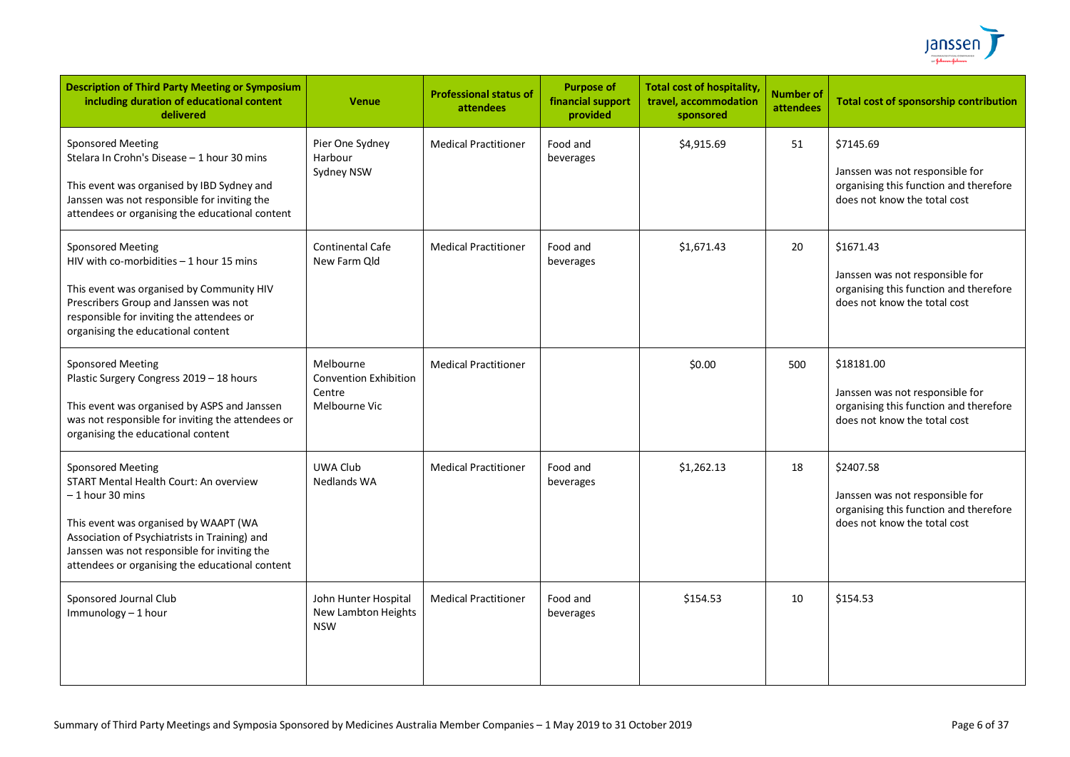

| <b>Description of Third Party Meeting or Symposium</b><br>including duration of educational content<br>delivered                                                                                                                                                                            | <b>Venue</b>                                                         | <b>Professional status of</b><br>attendees | <b>Purpose of</b><br>financial support<br>provided | <b>Total cost of hospitality</b><br>travel, accommodation<br>sponsored | <b>Number of</b><br>attendees | <b>Total cost of sponsorship contribution</b>                                                                           |
|---------------------------------------------------------------------------------------------------------------------------------------------------------------------------------------------------------------------------------------------------------------------------------------------|----------------------------------------------------------------------|--------------------------------------------|----------------------------------------------------|------------------------------------------------------------------------|-------------------------------|-------------------------------------------------------------------------------------------------------------------------|
| <b>Sponsored Meeting</b><br>Stelara In Crohn's Disease - 1 hour 30 mins<br>This event was organised by IBD Sydney and<br>Janssen was not responsible for inviting the<br>attendees or organising the educational content                                                                    | Pier One Sydney<br>Harbour<br>Sydney NSW                             | <b>Medical Practitioner</b>                | Food and<br>beverages                              | \$4,915.69                                                             | 51                            | \$7145.69<br>Janssen was not responsible for<br>organising this function and therefore<br>does not know the total cost  |
| <b>Sponsored Meeting</b><br>HIV with co-morbidities - 1 hour 15 mins<br>This event was organised by Community HIV<br>Prescribers Group and Janssen was not<br>responsible for inviting the attendees or<br>organising the educational content                                               | <b>Continental Cafe</b><br>New Farm Old                              | <b>Medical Practitioner</b>                | Food and<br>beverages                              | \$1,671.43                                                             | 20                            | \$1671.43<br>Janssen was not responsible for<br>organising this function and therefore<br>does not know the total cost  |
| <b>Sponsored Meeting</b><br>Plastic Surgery Congress 2019 - 18 hours<br>This event was organised by ASPS and Janssen<br>was not responsible for inviting the attendees or<br>organising the educational content                                                                             | Melbourne<br><b>Convention Exhibition</b><br>Centre<br>Melbourne Vic | <b>Medical Practitioner</b>                |                                                    | \$0.00                                                                 | 500                           | \$18181.00<br>Janssen was not responsible for<br>organising this function and therefore<br>does not know the total cost |
| <b>Sponsored Meeting</b><br><b>START Mental Health Court: An overview</b><br>$-1$ hour 30 mins<br>This event was organised by WAAPT (WA<br>Association of Psychiatrists in Training) and<br>Janssen was not responsible for inviting the<br>attendees or organising the educational content | UWA Club<br>Nedlands WA                                              | <b>Medical Practitioner</b>                | Food and<br>beverages                              | \$1,262.13                                                             | 18                            | \$2407.58<br>Janssen was not responsible for<br>organising this function and therefore<br>does not know the total cost  |
| Sponsored Journal Club<br>Immunology - 1 hour                                                                                                                                                                                                                                               | John Hunter Hospital<br>New Lambton Heights<br><b>NSW</b>            | <b>Medical Practitioner</b>                | Food and<br>beverages                              | \$154.53                                                               | 10                            | \$154.53                                                                                                                |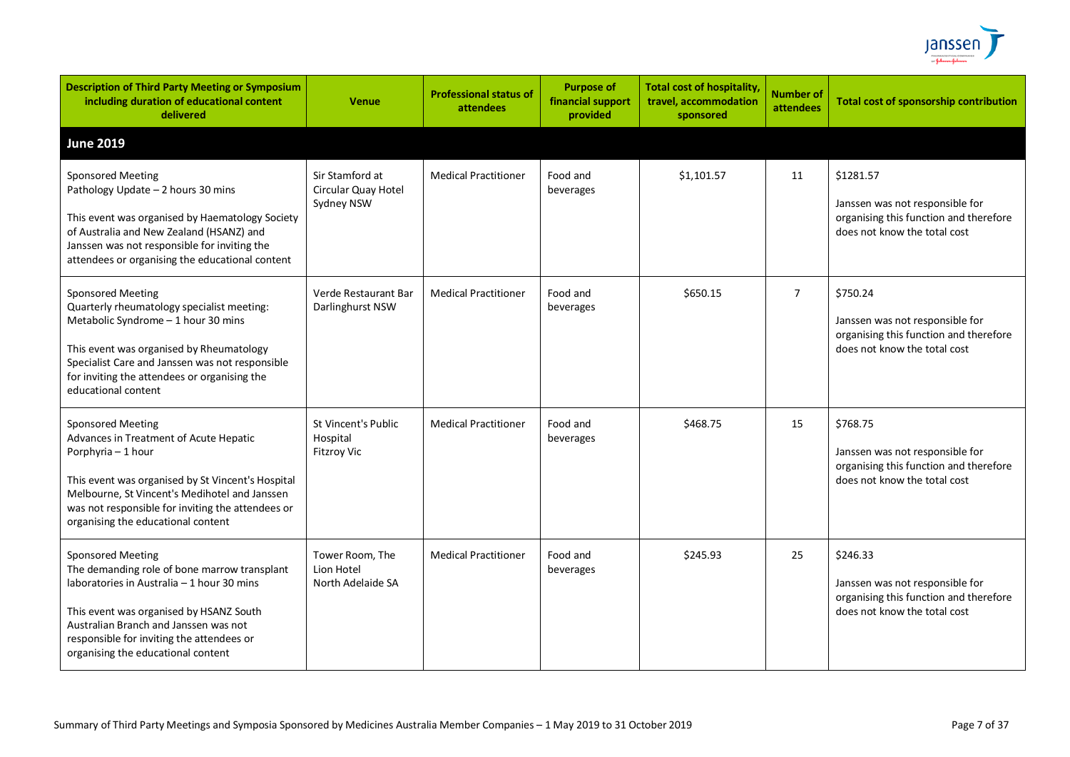

| <b>Description of Third Party Meeting or Symposium</b><br>including duration of educational content<br>delivered                                                                                                                                                                              | <b>Venue</b>                                          | <b>Professional status of</b><br>attendees | <b>Purpose of</b><br>financial support<br>provided | <b>Total cost of hospitality,</b><br>travel, accommodation<br>sponsored | <b>Number of</b><br>attendees | Total cost of sponsorship contribution                                                                                 |
|-----------------------------------------------------------------------------------------------------------------------------------------------------------------------------------------------------------------------------------------------------------------------------------------------|-------------------------------------------------------|--------------------------------------------|----------------------------------------------------|-------------------------------------------------------------------------|-------------------------------|------------------------------------------------------------------------------------------------------------------------|
| <b>June 2019</b>                                                                                                                                                                                                                                                                              |                                                       |                                            |                                                    |                                                                         |                               |                                                                                                                        |
| <b>Sponsored Meeting</b><br>Pathology Update - 2 hours 30 mins<br>This event was organised by Haematology Society<br>of Australia and New Zealand (HSANZ) and<br>Janssen was not responsible for inviting the<br>attendees or organising the educational content                              | Sir Stamford at<br>Circular Quay Hotel<br>Sydney NSW  | <b>Medical Practitioner</b>                | Food and<br>beverages                              | \$1,101.57                                                              | 11                            | \$1281.57<br>Janssen was not responsible for<br>organising this function and therefore<br>does not know the total cost |
| <b>Sponsored Meeting</b><br>Quarterly rheumatology specialist meeting:<br>Metabolic Syndrome - 1 hour 30 mins<br>This event was organised by Rheumatology<br>Specialist Care and Janssen was not responsible<br>for inviting the attendees or organising the<br>educational content           | Verde Restaurant Bar<br>Darlinghurst NSW              | <b>Medical Practitioner</b>                | Food and<br>beverages                              | \$650.15                                                                | $\overline{7}$                | \$750.24<br>Janssen was not responsible for<br>organising this function and therefore<br>does not know the total cost  |
| <b>Sponsored Meeting</b><br>Advances in Treatment of Acute Hepatic<br>Porphyria - 1 hour<br>This event was organised by St Vincent's Hospital<br>Melbourne, St Vincent's Medihotel and Janssen<br>was not responsible for inviting the attendees or<br>organising the educational content     | St Vincent's Public<br>Hospital<br><b>Fitzroy Vic</b> | <b>Medical Practitioner</b>                | Food and<br>beverages                              | \$468.75                                                                | 15                            | \$768.75<br>Janssen was not responsible for<br>organising this function and therefore<br>does not know the total cost  |
| <b>Sponsored Meeting</b><br>The demanding role of bone marrow transplant<br>laboratories in Australia - 1 hour 30 mins<br>This event was organised by HSANZ South<br>Australian Branch and Janssen was not<br>responsible for inviting the attendees or<br>organising the educational content | Tower Room, The<br>Lion Hotel<br>North Adelaide SA    | <b>Medical Practitioner</b>                | Food and<br>beverages                              | \$245.93                                                                | 25                            | \$246.33<br>Janssen was not responsible for<br>organising this function and therefore<br>does not know the total cost  |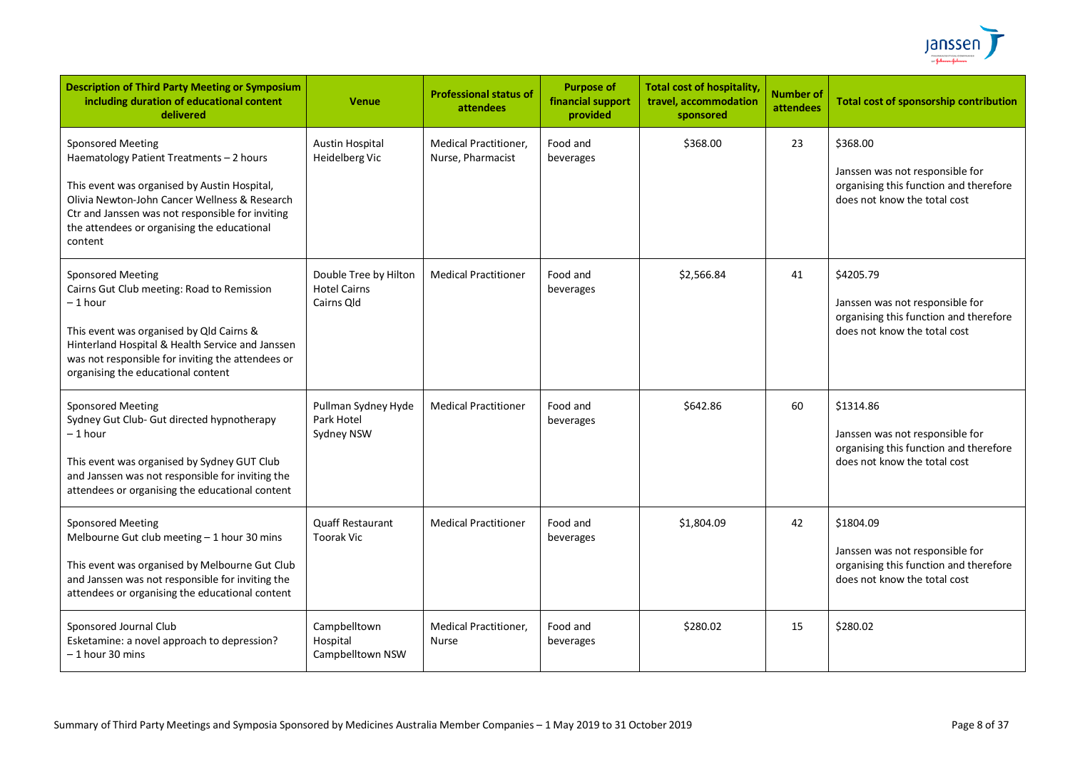

| <b>Description of Third Party Meeting or Symposium</b><br>including duration of educational content<br>delivered                                                                                                                                                                    | <b>Venue</b>                                               | <b>Professional status of</b><br>attendees        | <b>Purpose of</b><br>financial support<br>provided | <b>Total cost of hospitality</b><br>travel, accommodation<br>sponsored | <b>Number of</b><br>attendees | <b>Total cost of sponsorship contribution</b>                                                                          |
|-------------------------------------------------------------------------------------------------------------------------------------------------------------------------------------------------------------------------------------------------------------------------------------|------------------------------------------------------------|---------------------------------------------------|----------------------------------------------------|------------------------------------------------------------------------|-------------------------------|------------------------------------------------------------------------------------------------------------------------|
| <b>Sponsored Meeting</b><br>Haematology Patient Treatments - 2 hours<br>This event was organised by Austin Hospital,<br>Olivia Newton-John Cancer Wellness & Research<br>Ctr and Janssen was not responsible for inviting<br>the attendees or organising the educational<br>content | <b>Austin Hospital</b><br>Heidelberg Vic                   | <b>Medical Practitioner.</b><br>Nurse, Pharmacist | Food and<br>beverages                              | \$368.00                                                               | 23                            | \$368.00<br>Janssen was not responsible for<br>organising this function and therefore<br>does not know the total cost  |
| <b>Sponsored Meeting</b><br>Cairns Gut Club meeting: Road to Remission<br>– 1 hour<br>This event was organised by Qld Cairns &<br>Hinterland Hospital & Health Service and Janssen<br>was not responsible for inviting the attendees or<br>organising the educational content       | Double Tree by Hilton<br><b>Hotel Cairns</b><br>Cairns Old | <b>Medical Practitioner</b>                       | Food and<br>beverages                              | \$2,566.84                                                             | 41                            | \$4205.79<br>Janssen was not responsible for<br>organising this function and therefore<br>does not know the total cost |
| <b>Sponsored Meeting</b><br>Sydney Gut Club- Gut directed hypnotherapy<br>– 1 hour<br>This event was organised by Sydney GUT Club<br>and Janssen was not responsible for inviting the<br>attendees or organising the educational content                                            | Pullman Sydney Hyde<br>Park Hotel<br>Sydney NSW            | <b>Medical Practitioner</b>                       | Food and<br>beverages                              | \$642.86                                                               | 60                            | \$1314.86<br>Janssen was not responsible for<br>organising this function and therefore<br>does not know the total cost |
| <b>Sponsored Meeting</b><br>Melbourne Gut club meeting - 1 hour 30 mins<br>This event was organised by Melbourne Gut Club<br>and Janssen was not responsible for inviting the<br>attendees or organising the educational content                                                    | <b>Quaff Restaurant</b><br><b>Toorak Vic</b>               | <b>Medical Practitioner</b>                       | Food and<br>beverages                              | \$1,804.09                                                             | 42                            | \$1804.09<br>Janssen was not responsible for<br>organising this function and therefore<br>does not know the total cost |
| Sponsored Journal Club<br>Esketamine: a novel approach to depression?<br>$-1$ hour 30 mins                                                                                                                                                                                          | Campbelltown<br>Hospital<br>Campbelltown NSW               | <b>Medical Practitioner,</b><br>Nurse             | Food and<br>beverages                              | \$280.02                                                               | 15                            | \$280.02                                                                                                               |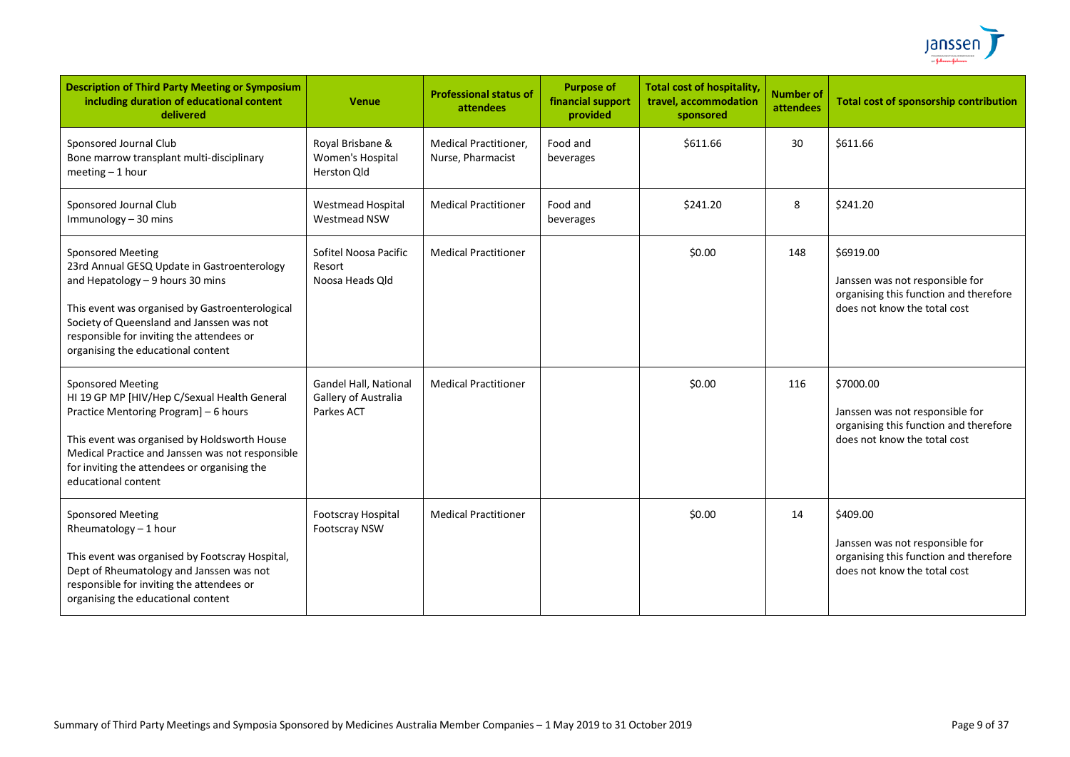

| <b>Description of Third Party Meeting or Symposium</b><br>including duration of educational content<br>delivered                                                                                                                                                                                | <b>Venue</b>                                                | <b>Professional status of</b><br>attendees        | <b>Purpose of</b><br>financial support<br>provided | <b>Total cost of hospitality,</b><br>travel, accommodation<br>sponsored | <b>Number of</b><br>attendees | <b>Total cost of sponsorship contribution</b>                                                                          |
|-------------------------------------------------------------------------------------------------------------------------------------------------------------------------------------------------------------------------------------------------------------------------------------------------|-------------------------------------------------------------|---------------------------------------------------|----------------------------------------------------|-------------------------------------------------------------------------|-------------------------------|------------------------------------------------------------------------------------------------------------------------|
| Sponsored Journal Club<br>Bone marrow transplant multi-disciplinary<br>meeting $-1$ hour                                                                                                                                                                                                        | Royal Brisbane &<br>Women's Hospital<br>Herston Qld         | <b>Medical Practitioner,</b><br>Nurse, Pharmacist | Food and<br>beverages                              | \$611.66                                                                | 30                            | \$611.66                                                                                                               |
| Sponsored Journal Club<br>Immunology - 30 mins                                                                                                                                                                                                                                                  | <b>Westmead Hospital</b><br>Westmead NSW                    | <b>Medical Practitioner</b>                       | Food and<br>beverages                              | \$241.20                                                                | 8                             | \$241.20                                                                                                               |
| <b>Sponsored Meeting</b><br>23rd Annual GESQ Update in Gastroenterology<br>and Hepatology $-9$ hours 30 mins<br>This event was organised by Gastroenterological<br>Society of Queensland and Janssen was not<br>responsible for inviting the attendees or<br>organising the educational content | Sofitel Noosa Pacific<br>Resort<br>Noosa Heads Old          | <b>Medical Practitioner</b>                       |                                                    | \$0.00                                                                  | 148                           | \$6919.00<br>Janssen was not responsible for<br>organising this function and therefore<br>does not know the total cost |
| <b>Sponsored Meeting</b><br>HI 19 GP MP [HIV/Hep C/Sexual Health General<br>Practice Mentoring Program] - 6 hours<br>This event was organised by Holdsworth House<br>Medical Practice and Janssen was not responsible<br>for inviting the attendees or organising the<br>educational content    | Gandel Hall, National<br>Gallery of Australia<br>Parkes ACT | <b>Medical Practitioner</b>                       |                                                    | \$0.00                                                                  | 116                           | \$7000.00<br>Janssen was not responsible for<br>organising this function and therefore<br>does not know the total cost |
| <b>Sponsored Meeting</b><br>Rheumatology - 1 hour<br>This event was organised by Footscray Hospital,<br>Dept of Rheumatology and Janssen was not<br>responsible for inviting the attendees or<br>organising the educational content                                                             | Footscray Hospital<br><b>Footscray NSW</b>                  | <b>Medical Practitioner</b>                       |                                                    | \$0.00                                                                  | 14                            | \$409.00<br>Janssen was not responsible for<br>organising this function and therefore<br>does not know the total cost  |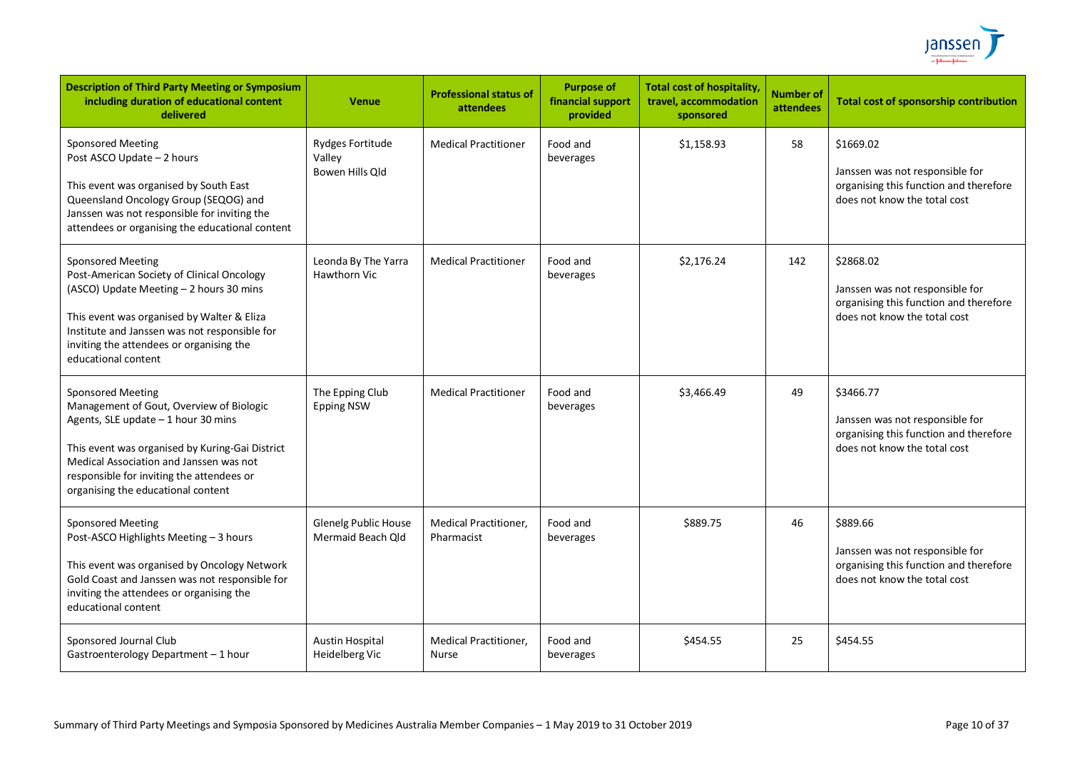

| <b>Description of Third Party Meeting or Symposium</b><br>including duration of educational content<br>delivered                                                                                                                                                                             | <b>Venue</b>                                  | <b>Professional status of</b><br>attendees   | <b>Purpose of</b><br>financial support<br>provided | <b>Total cost of hospitality,</b><br>travel, accommodation<br>sponsored | <b>Number of</b><br>attendees | <b>Total cost of sponsorship contribution</b>                                                                          |
|----------------------------------------------------------------------------------------------------------------------------------------------------------------------------------------------------------------------------------------------------------------------------------------------|-----------------------------------------------|----------------------------------------------|----------------------------------------------------|-------------------------------------------------------------------------|-------------------------------|------------------------------------------------------------------------------------------------------------------------|
| <b>Sponsored Meeting</b><br>Post ASCO Update - 2 hours<br>This event was organised by South East<br>Queensland Oncology Group (SEQOG) and<br>Janssen was not responsible for inviting the<br>attendees or organising the educational content                                                 | Rydges Fortitude<br>Valley<br>Bowen Hills Qld | <b>Medical Practitioner</b>                  | Food and<br>beverages                              | \$1,158.93                                                              | 58                            | \$1669.02<br>Janssen was not responsible for<br>organising this function and therefore<br>does not know the total cost |
| <b>Sponsored Meeting</b><br>Post-American Society of Clinical Oncology<br>(ASCO) Update Meeting - 2 hours 30 mins<br>This event was organised by Walter & Eliza<br>Institute and Janssen was not responsible for<br>inviting the attendees or organising the<br>educational content          | Leonda By The Yarra<br><b>Hawthorn Vic</b>    | <b>Medical Practitioner</b>                  | Food and<br>beverages                              | \$2,176.24                                                              | 142                           | \$2868.02<br>Janssen was not responsible for<br>organising this function and therefore<br>does not know the total cost |
| <b>Sponsored Meeting</b><br>Management of Gout, Overview of Biologic<br>Agents, SLE update - 1 hour 30 mins<br>This event was organised by Kuring-Gai District<br>Medical Association and Janssen was not<br>responsible for inviting the attendees or<br>organising the educational content | The Epping Club<br><b>Epping NSW</b>          | <b>Medical Practitioner</b>                  | Food and<br>beverages                              | \$3,466.49                                                              | 49                            | \$3466.77<br>Janssen was not responsible for<br>organising this function and therefore<br>does not know the total cost |
| <b>Sponsored Meeting</b><br>Post-ASCO Highlights Meeting - 3 hours<br>This event was organised by Oncology Network<br>Gold Coast and Janssen was not responsible for<br>inviting the attendees or organising the<br>educational content                                                      | Glenelg Public House<br>Mermaid Beach Old     | Medical Practitioner,<br>Pharmacist          | Food and<br>beverages                              | \$889.75                                                                | 46                            | \$889.66<br>Janssen was not responsible for<br>organising this function and therefore<br>does not know the total cost  |
| Sponsored Journal Club<br>Gastroenterology Department - 1 hour                                                                                                                                                                                                                               | <b>Austin Hospital</b><br>Heidelberg Vic      | <b>Medical Practitioner,</b><br><b>Nurse</b> | Food and<br>beverages                              | \$454.55                                                                | 25                            | \$454.55                                                                                                               |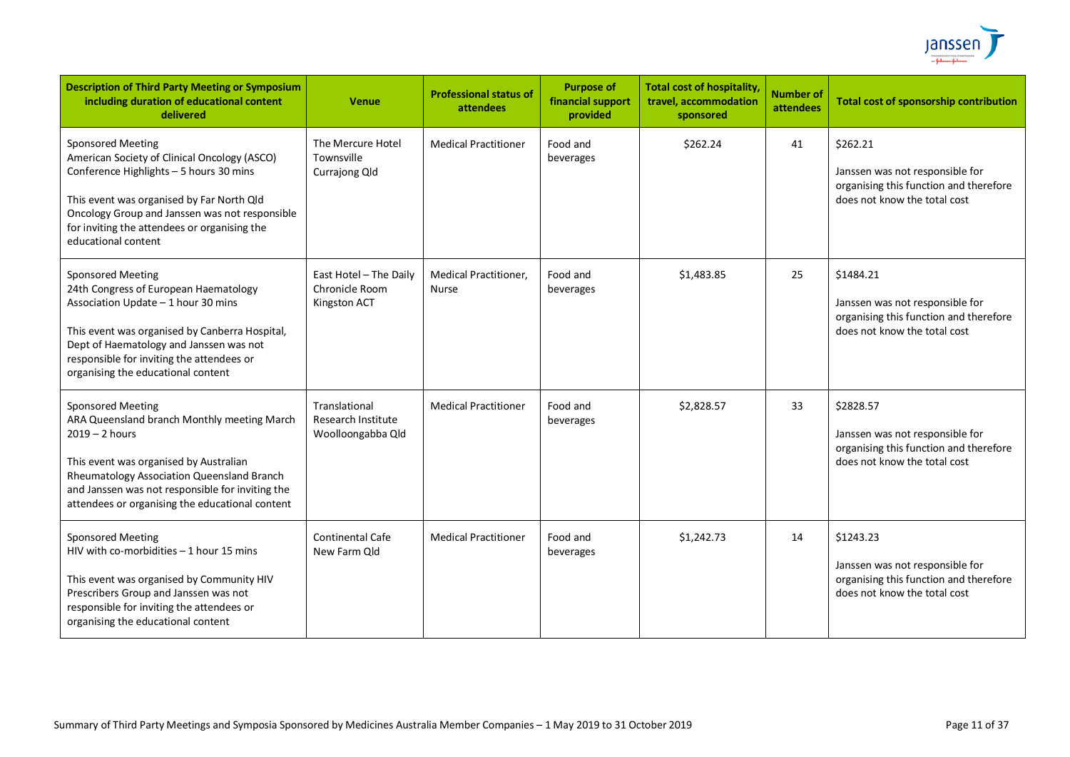

| <b>Description of Third Party Meeting or Symposium</b><br>including duration of educational content<br>delivered                                                                                                                                                                           | <b>Venue</b>                                                    | <b>Professional status of</b><br>attendees | <b>Purpose of</b><br>financial support<br>provided | <b>Total cost of hospitality,</b><br>travel, accommodation<br>sponsored | <b>Number of</b><br>attendees | <b>Total cost of sponsorship contribution</b>                                                                          |
|--------------------------------------------------------------------------------------------------------------------------------------------------------------------------------------------------------------------------------------------------------------------------------------------|-----------------------------------------------------------------|--------------------------------------------|----------------------------------------------------|-------------------------------------------------------------------------|-------------------------------|------------------------------------------------------------------------------------------------------------------------|
| <b>Sponsored Meeting</b><br>American Society of Clinical Oncology (ASCO)<br>Conference Highlights - 5 hours 30 mins<br>This event was organised by Far North Qld<br>Oncology Group and Janssen was not responsible<br>for inviting the attendees or organising the<br>educational content  | The Mercure Hotel<br>Townsville<br>Currajong Qld                | <b>Medical Practitioner</b>                | Food and<br>beverages                              | \$262.24                                                                | 41                            | \$262.21<br>Janssen was not responsible for<br>organising this function and therefore<br>does not know the total cost  |
| <b>Sponsored Meeting</b><br>24th Congress of European Haematology<br>Association Update - 1 hour 30 mins<br>This event was organised by Canberra Hospital,<br>Dept of Haematology and Janssen was not<br>responsible for inviting the attendees or<br>organising the educational content   | East Hotel - The Daily<br>Chronicle Room<br>Kingston ACT        | Medical Practitioner,<br><b>Nurse</b>      | Food and<br>beverages                              | \$1,483.85                                                              | 25                            | \$1484.21<br>Janssen was not responsible for<br>organising this function and therefore<br>does not know the total cost |
| <b>Sponsored Meeting</b><br>ARA Queensland branch Monthly meeting March<br>$2019 - 2$ hours<br>This event was organised by Australian<br>Rheumatology Association Queensland Branch<br>and Janssen was not responsible for inviting the<br>attendees or organising the educational content | Translational<br><b>Research Institute</b><br>Woolloongabba Qld | <b>Medical Practitioner</b>                | Food and<br>beverages                              | \$2,828.57                                                              | 33                            | \$2828.57<br>Janssen was not responsible for<br>organising this function and therefore<br>does not know the total cost |
| Sponsored Meeting<br>HIV with co-morbidities $-1$ hour 15 mins<br>This event was organised by Community HIV<br>Prescribers Group and Janssen was not<br>responsible for inviting the attendees or<br>organising the educational content                                                    | <b>Continental Cafe</b><br>New Farm Qld                         | <b>Medical Practitioner</b>                | Food and<br>beverages                              | \$1,242.73                                                              | 14                            | \$1243.23<br>Janssen was not responsible for<br>organising this function and therefore<br>does not know the total cost |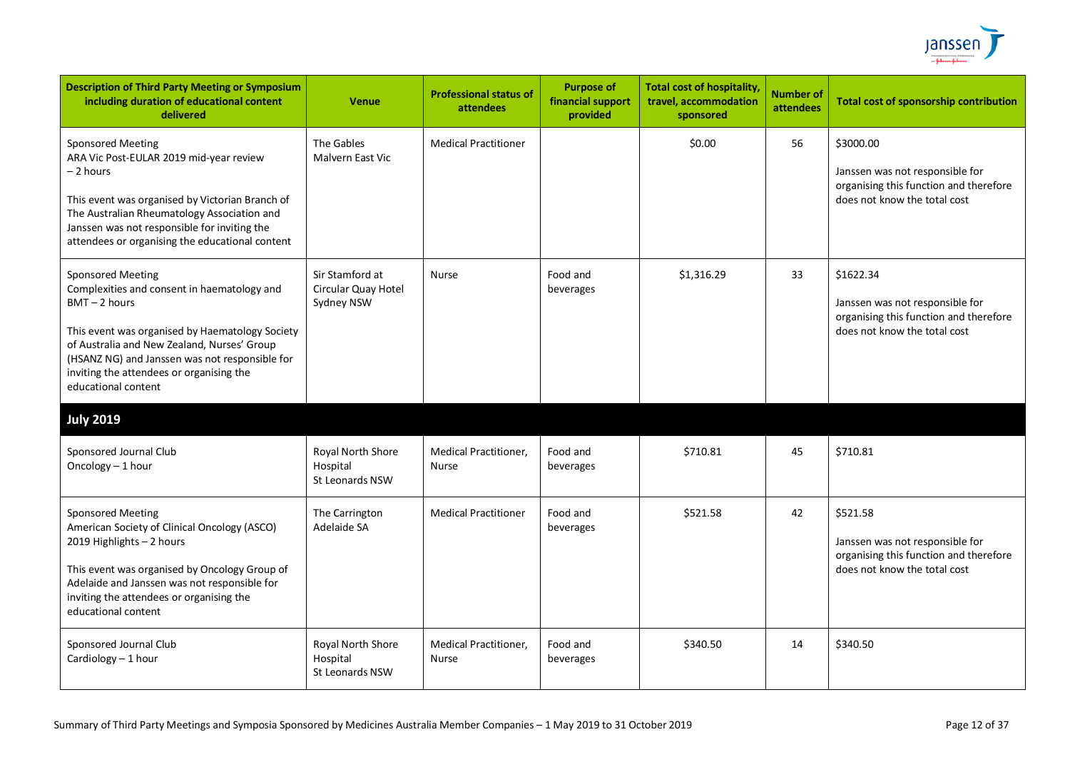

| <b>Description of Third Party Meeting or Symposium</b><br>including duration of educational content<br>delivered                                                                                                                                                                                                  | <b>Venue</b>                                         | <b>Professional status of</b><br>attendees | <b>Purpose of</b><br>financial support<br>provided | <b>Total cost of hospitality</b><br>travel, accommodation<br>sponsored | <b>Number of</b><br>attendees | <b>Total cost of sponsorship contribution</b>                                                                          |
|-------------------------------------------------------------------------------------------------------------------------------------------------------------------------------------------------------------------------------------------------------------------------------------------------------------------|------------------------------------------------------|--------------------------------------------|----------------------------------------------------|------------------------------------------------------------------------|-------------------------------|------------------------------------------------------------------------------------------------------------------------|
| Sponsored Meeting<br>ARA Vic Post-EULAR 2019 mid-year review<br>- 2 hours<br>This event was organised by Victorian Branch of<br>The Australian Rheumatology Association and<br>Janssen was not responsible for inviting the<br>attendees or organising the educational content                                    | The Gables<br>Malvern East Vic                       | <b>Medical Practitioner</b>                |                                                    | \$0.00                                                                 | 56                            | \$3000.00<br>Janssen was not responsible for<br>organising this function and therefore<br>does not know the total cost |
| <b>Sponsored Meeting</b><br>Complexities and consent in haematology and<br>$BMT - 2$ hours<br>This event was organised by Haematology Society<br>of Australia and New Zealand, Nurses' Group<br>(HSANZ NG) and Janssen was not responsible for<br>inviting the attendees or organising the<br>educational content | Sir Stamford at<br>Circular Quay Hotel<br>Sydney NSW | <b>Nurse</b>                               | Food and<br>beverages                              | \$1,316.29                                                             | 33                            | \$1622.34<br>Janssen was not responsible for<br>organising this function and therefore<br>does not know the total cost |
| <b>July 2019</b>                                                                                                                                                                                                                                                                                                  |                                                      |                                            |                                                    |                                                                        |                               |                                                                                                                        |
| Sponsored Journal Club<br>Oncology - 1 hour                                                                                                                                                                                                                                                                       | Royal North Shore<br>Hospital<br>St Leonards NSW     | <b>Medical Practitioner,</b><br>Nurse      | Food and<br>beverages                              | \$710.81                                                               | 45                            | \$710.81                                                                                                               |
| <b>Sponsored Meeting</b><br>American Society of Clinical Oncology (ASCO)<br>2019 Highlights - 2 hours<br>This event was organised by Oncology Group of<br>Adelaide and Janssen was not responsible for<br>inviting the attendees or organising the<br>educational content                                         | The Carrington<br>Adelaide SA                        | <b>Medical Practitioner</b>                | Food and<br>beverages                              | \$521.58                                                               | 42                            | \$521.58<br>Janssen was not responsible for<br>organising this function and therefore<br>does not know the total cost  |
| Sponsored Journal Club<br>Cardiology - 1 hour                                                                                                                                                                                                                                                                     | Royal North Shore<br>Hospital<br>St Leonards NSW     | <b>Medical Practitioner,</b><br>Nurse      | Food and<br>beverages                              | \$340.50                                                               | 14                            | \$340.50                                                                                                               |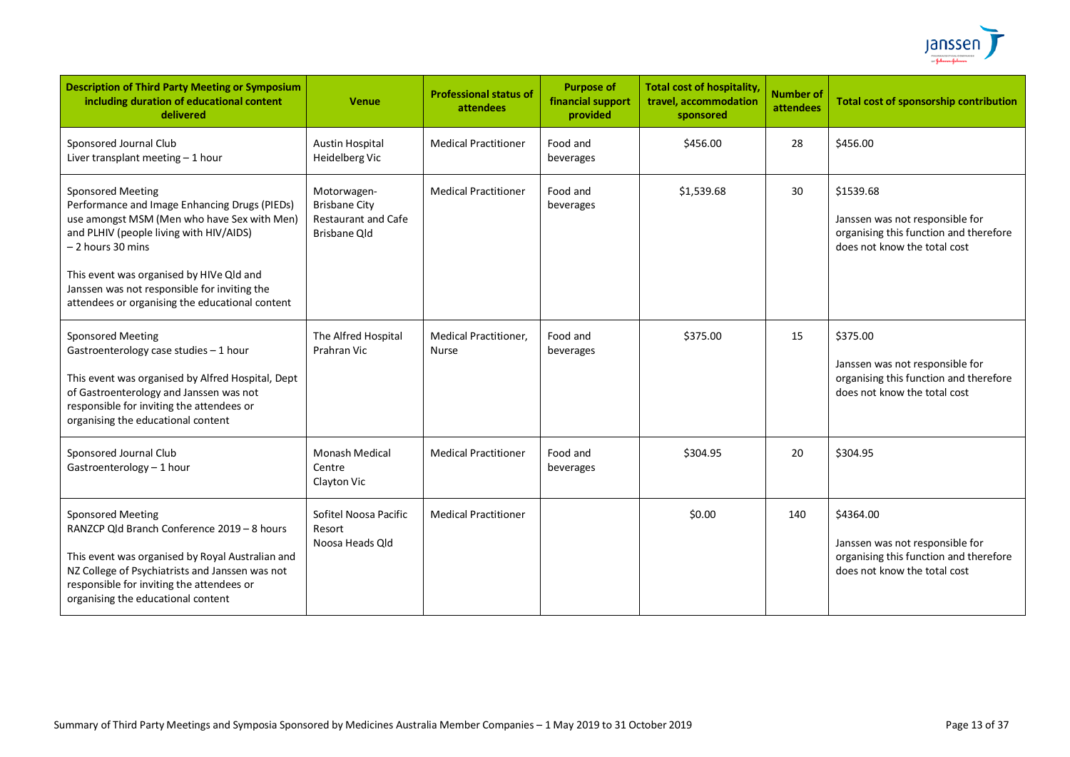

| <b>Description of Third Party Meeting or Symposium</b><br>including duration of educational content<br>delivered                                                                                                                                                                                                                         | Venue                                                                                    | <b>Professional status of</b><br>attendees   | <b>Purpose of</b><br>financial support<br>provided | <b>Total cost of hospitality</b><br>travel, accommodation<br>sponsored | <b>Number of</b><br>attendees | <b>Total cost of sponsorship contribution</b>                                                                          |
|------------------------------------------------------------------------------------------------------------------------------------------------------------------------------------------------------------------------------------------------------------------------------------------------------------------------------------------|------------------------------------------------------------------------------------------|----------------------------------------------|----------------------------------------------------|------------------------------------------------------------------------|-------------------------------|------------------------------------------------------------------------------------------------------------------------|
| Sponsored Journal Club<br>Liver transplant meeting $-1$ hour                                                                                                                                                                                                                                                                             | <b>Austin Hospital</b><br>Heidelberg Vic                                                 | <b>Medical Practitioner</b>                  | Food and<br>beverages                              | \$456.00                                                               | 28                            | \$456.00                                                                                                               |
| <b>Sponsored Meeting</b><br>Performance and Image Enhancing Drugs (PIEDs)<br>use amongst MSM (Men who have Sex with Men)<br>and PLHIV (people living with HIV/AIDS)<br>$-2$ hours 30 mins<br>This event was organised by HIVe Qld and<br>Janssen was not responsible for inviting the<br>attendees or organising the educational content | Motorwagen-<br><b>Brisbane City</b><br><b>Restaurant and Cafe</b><br><b>Brisbane Old</b> | <b>Medical Practitioner</b>                  | Food and<br>beverages                              | \$1,539.68                                                             | 30                            | \$1539.68<br>Janssen was not responsible for<br>organising this function and therefore<br>does not know the total cost |
| <b>Sponsored Meeting</b><br>Gastroenterology case studies - 1 hour<br>This event was organised by Alfred Hospital, Dept<br>of Gastroenterology and Janssen was not<br>responsible for inviting the attendees or<br>organising the educational content                                                                                    | The Alfred Hospital<br>Prahran Vic                                                       | <b>Medical Practitioner,</b><br><b>Nurse</b> | Food and<br>beverages                              | \$375.00                                                               | 15                            | \$375.00<br>Janssen was not responsible for<br>organising this function and therefore<br>does not know the total cost  |
| Sponsored Journal Club<br>Gastroenterology - 1 hour                                                                                                                                                                                                                                                                                      | <b>Monash Medical</b><br>Centre<br>Clayton Vic                                           | <b>Medical Practitioner</b>                  | Food and<br>beverages                              | \$304.95                                                               | 20                            | \$304.95                                                                                                               |
| <b>Sponsored Meeting</b><br>RANZCP Qld Branch Conference 2019 - 8 hours<br>This event was organised by Royal Australian and<br>NZ College of Psychiatrists and Janssen was not<br>responsible for inviting the attendees or<br>organising the educational content                                                                        | Sofitel Noosa Pacific<br>Resort<br>Noosa Heads Old                                       | <b>Medical Practitioner</b>                  |                                                    | \$0.00                                                                 | 140                           | \$4364.00<br>Janssen was not responsible for<br>organising this function and therefore<br>does not know the total cost |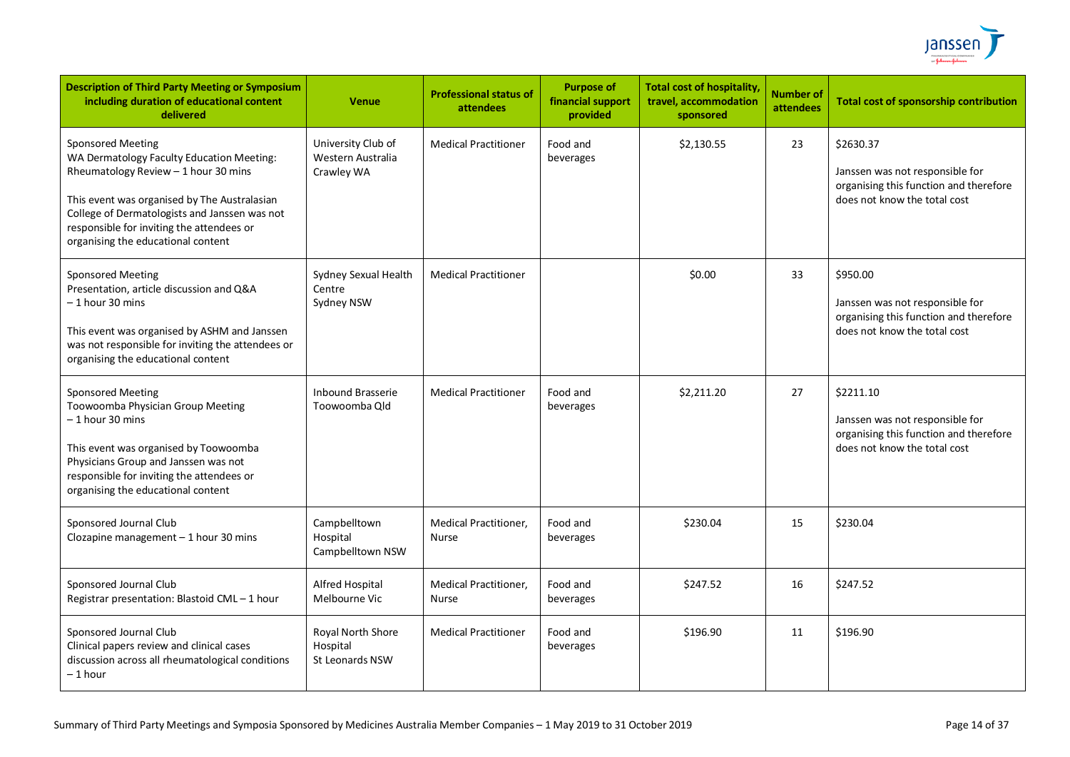

| <b>Description of Third Party Meeting or Symposium</b><br>including duration of educational content<br>delivered                                                                                                                                                                                  | <b>Venue</b>                                          | <b>Professional status of</b><br><b>attendees</b> | <b>Purpose of</b><br>financial support<br>provided | <b>Total cost of hospitality</b><br>travel, accommodation<br>sponsored | <b>Number of</b><br>attendees | <b>Total cost of sponsorship contribution</b>                                                                          |
|---------------------------------------------------------------------------------------------------------------------------------------------------------------------------------------------------------------------------------------------------------------------------------------------------|-------------------------------------------------------|---------------------------------------------------|----------------------------------------------------|------------------------------------------------------------------------|-------------------------------|------------------------------------------------------------------------------------------------------------------------|
| <b>Sponsored Meeting</b><br>WA Dermatology Faculty Education Meeting:<br>Rheumatology Review - 1 hour 30 mins<br>This event was organised by The Australasian<br>College of Dermatologists and Janssen was not<br>responsible for inviting the attendees or<br>organising the educational content | University Club of<br>Western Australia<br>Crawley WA | <b>Medical Practitioner</b>                       | Food and<br>beverages                              | \$2,130.55                                                             | 23                            | \$2630.37<br>Janssen was not responsible for<br>organising this function and therefore<br>does not know the total cost |
| <b>Sponsored Meeting</b><br>Presentation, article discussion and Q&A<br>- 1 hour 30 mins<br>This event was organised by ASHM and Janssen<br>was not responsible for inviting the attendees or<br>organising the educational content                                                               | Sydney Sexual Health<br>Centre<br>Sydney NSW          | <b>Medical Practitioner</b>                       |                                                    | \$0.00                                                                 | 33                            | \$950.00<br>Janssen was not responsible for<br>organising this function and therefore<br>does not know the total cost  |
| <b>Sponsored Meeting</b><br>Toowoomba Physician Group Meeting<br>- 1 hour 30 mins<br>This event was organised by Toowoomba<br>Physicians Group and Janssen was not<br>responsible for inviting the attendees or<br>organising the educational content                                             | <b>Inbound Brasserie</b><br>Toowoomba Old             | <b>Medical Practitioner</b>                       | Food and<br>beverages                              | \$2,211.20                                                             | 27                            | \$2211.10<br>Janssen was not responsible for<br>organising this function and therefore<br>does not know the total cost |
| Sponsored Journal Club<br>Clozapine management $-1$ hour 30 mins                                                                                                                                                                                                                                  | Campbelltown<br>Hospital<br>Campbelltown NSW          | <b>Medical Practitioner,</b><br>Nurse             | Food and<br>beverages                              | \$230.04                                                               | 15                            | \$230.04                                                                                                               |
| Sponsored Journal Club<br>Registrar presentation: Blastoid CML-1 hour                                                                                                                                                                                                                             | Alfred Hospital<br>Melbourne Vic                      | Medical Practitioner,<br>Nurse                    | Food and<br>beverages                              | \$247.52                                                               | 16                            | \$247.52                                                                                                               |
| Sponsored Journal Club<br>Clinical papers review and clinical cases<br>discussion across all rheumatological conditions<br>– 1 hour                                                                                                                                                               | Royal North Shore<br>Hospital<br>St Leonards NSW      | <b>Medical Practitioner</b>                       | Food and<br>beverages                              | \$196.90                                                               | 11                            | \$196.90                                                                                                               |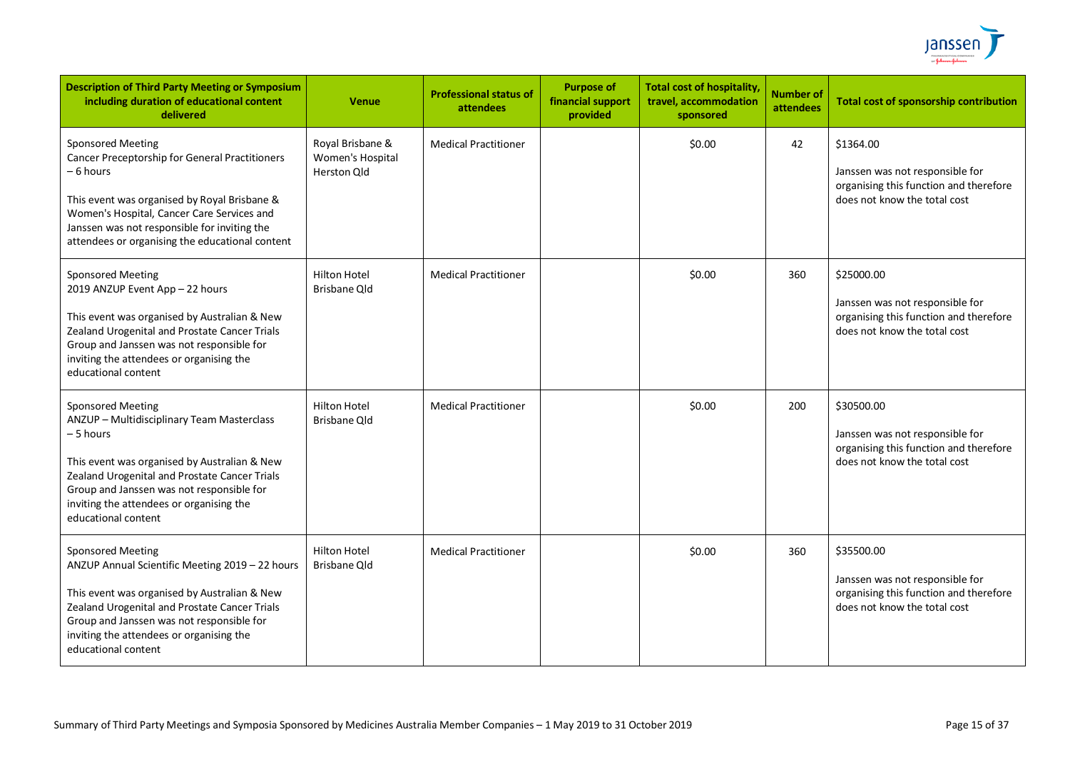

| <b>Description of Third Party Meeting or Symposium</b><br>including duration of educational content<br>delivered                                                                                                                                                                                     | <b>Venue</b>                                        | <b>Professional status of</b><br>attendees | <b>Purpose of</b><br>financial support<br>provided | <b>Total cost of hospitality,</b><br>travel, accommodation<br>sponsored | <b>Number of</b><br>attendees | <b>Total cost of sponsorship contribution</b>                                                                           |
|------------------------------------------------------------------------------------------------------------------------------------------------------------------------------------------------------------------------------------------------------------------------------------------------------|-----------------------------------------------------|--------------------------------------------|----------------------------------------------------|-------------------------------------------------------------------------|-------------------------------|-------------------------------------------------------------------------------------------------------------------------|
| <b>Sponsored Meeting</b><br><b>Cancer Preceptorship for General Practitioners</b><br>– 6 hours<br>This event was organised by Royal Brisbane &<br>Women's Hospital, Cancer Care Services and<br>Janssen was not responsible for inviting the<br>attendees or organising the educational content      | Royal Brisbane &<br>Women's Hospital<br>Herston Qld | <b>Medical Practitioner</b>                |                                                    | \$0.00                                                                  | 42                            | \$1364.00<br>Janssen was not responsible for<br>organising this function and therefore<br>does not know the total cost  |
| Sponsored Meeting<br>2019 ANZUP Event App - 22 hours<br>This event was organised by Australian & New<br>Zealand Urogenital and Prostate Cancer Trials<br>Group and Janssen was not responsible for<br>inviting the attendees or organising the<br>educational content                                | Hilton Hotel<br><b>Brisbane Old</b>                 | <b>Medical Practitioner</b>                |                                                    | \$0.00                                                                  | 360                           | \$25000.00<br>Janssen was not responsible for<br>organising this function and therefore<br>does not know the total cost |
| <b>Sponsored Meeting</b><br>ANZUP - Multidisciplinary Team Masterclass<br>– 5 hours<br>This event was organised by Australian & New<br>Zealand Urogenital and Prostate Cancer Trials<br>Group and Janssen was not responsible for<br>inviting the attendees or organising the<br>educational content | <b>Hilton Hotel</b><br><b>Brisbane Qld</b>          | <b>Medical Practitioner</b>                |                                                    | \$0.00                                                                  | 200                           | \$30500.00<br>Janssen was not responsible for<br>organising this function and therefore<br>does not know the total cost |
| <b>Sponsored Meeting</b><br>ANZUP Annual Scientific Meeting 2019 - 22 hours<br>This event was organised by Australian & New<br>Zealand Urogenital and Prostate Cancer Trials<br>Group and Janssen was not responsible for<br>inviting the attendees or organising the<br>educational content         | <b>Hilton Hotel</b><br>Brisbane Old                 | <b>Medical Practitioner</b>                |                                                    | \$0.00                                                                  | 360                           | \$35500.00<br>Janssen was not responsible for<br>organising this function and therefore<br>does not know the total cost |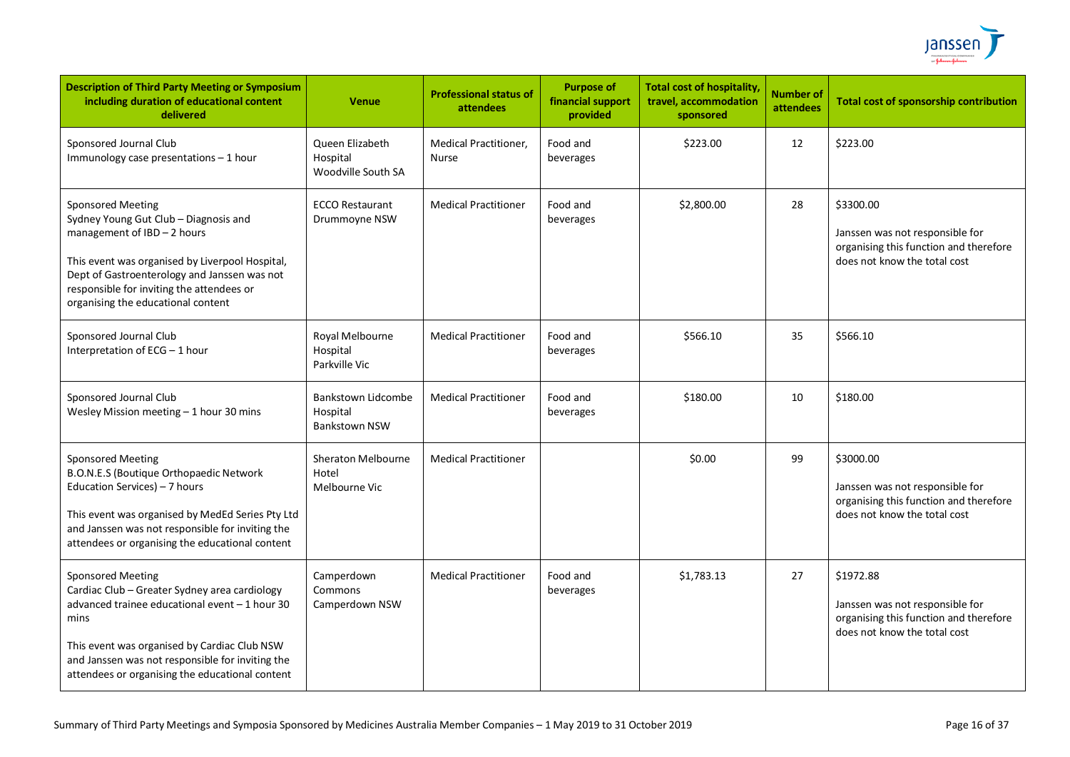

| <b>Description of Third Party Meeting or Symposium</b><br>including duration of educational content<br>delivered                                                                                                                                                                           | <b>Venue</b>                                           | <b>Professional status of</b><br>attendees | <b>Purpose of</b><br>financial support<br>provided | <b>Total cost of hospitality,</b><br>travel, accommodation<br>sponsored | <b>Number of</b><br><b>attendees</b> | <b>Total cost of sponsorship contribution</b>                                                                          |
|--------------------------------------------------------------------------------------------------------------------------------------------------------------------------------------------------------------------------------------------------------------------------------------------|--------------------------------------------------------|--------------------------------------------|----------------------------------------------------|-------------------------------------------------------------------------|--------------------------------------|------------------------------------------------------------------------------------------------------------------------|
| Sponsored Journal Club<br>Immunology case presentations - 1 hour                                                                                                                                                                                                                           | Queen Elizabeth<br>Hospital<br>Woodville South SA      | <b>Medical Practitioner,</b><br>Nurse      | Food and<br>beverages                              | \$223.00                                                                | 12                                   | \$223.00                                                                                                               |
| <b>Sponsored Meeting</b><br>Sydney Young Gut Club - Diagnosis and<br>management of IBD - 2 hours<br>This event was organised by Liverpool Hospital,<br>Dept of Gastroenterology and Janssen was not<br>responsible for inviting the attendees or<br>organising the educational content     | <b>ECCO Restaurant</b><br>Drummoyne NSW                | <b>Medical Practitioner</b>                | Food and<br>beverages                              | \$2,800.00                                                              | 28                                   | \$3300.00<br>Janssen was not responsible for<br>organising this function and therefore<br>does not know the total cost |
| Sponsored Journal Club<br>Interpretation of ECG - 1 hour                                                                                                                                                                                                                                   | Royal Melbourne<br>Hospital<br>Parkville Vic           | <b>Medical Practitioner</b>                | Food and<br>beverages                              | \$566.10                                                                | 35                                   | \$566.10                                                                                                               |
| Sponsored Journal Club<br>Wesley Mission meeting $-1$ hour 30 mins                                                                                                                                                                                                                         | Bankstown Lidcombe<br>Hospital<br><b>Bankstown NSW</b> | <b>Medical Practitioner</b>                | Food and<br>beverages                              | \$180.00                                                                | 10                                   | \$180.00                                                                                                               |
| <b>Sponsored Meeting</b><br>B.O.N.E.S (Boutique Orthopaedic Network<br>Education Services) - 7 hours<br>This event was organised by MedEd Series Pty Ltd<br>and Janssen was not responsible for inviting the<br>attendees or organising the educational content                            | <b>Sheraton Melbourne</b><br>Hotel<br>Melbourne Vic    | <b>Medical Practitioner</b>                |                                                    | \$0.00                                                                  | 99                                   | \$3000.00<br>Janssen was not responsible for<br>organising this function and therefore<br>does not know the total cost |
| <b>Sponsored Meeting</b><br>Cardiac Club - Greater Sydney area cardiology<br>advanced trainee educational event - 1 hour 30<br>mins<br>This event was organised by Cardiac Club NSW<br>and Janssen was not responsible for inviting the<br>attendees or organising the educational content | Camperdown<br>Commons<br>Camperdown NSW                | <b>Medical Practitioner</b>                | Food and<br>beverages                              | \$1,783.13                                                              | 27                                   | \$1972.88<br>Janssen was not responsible for<br>organising this function and therefore<br>does not know the total cost |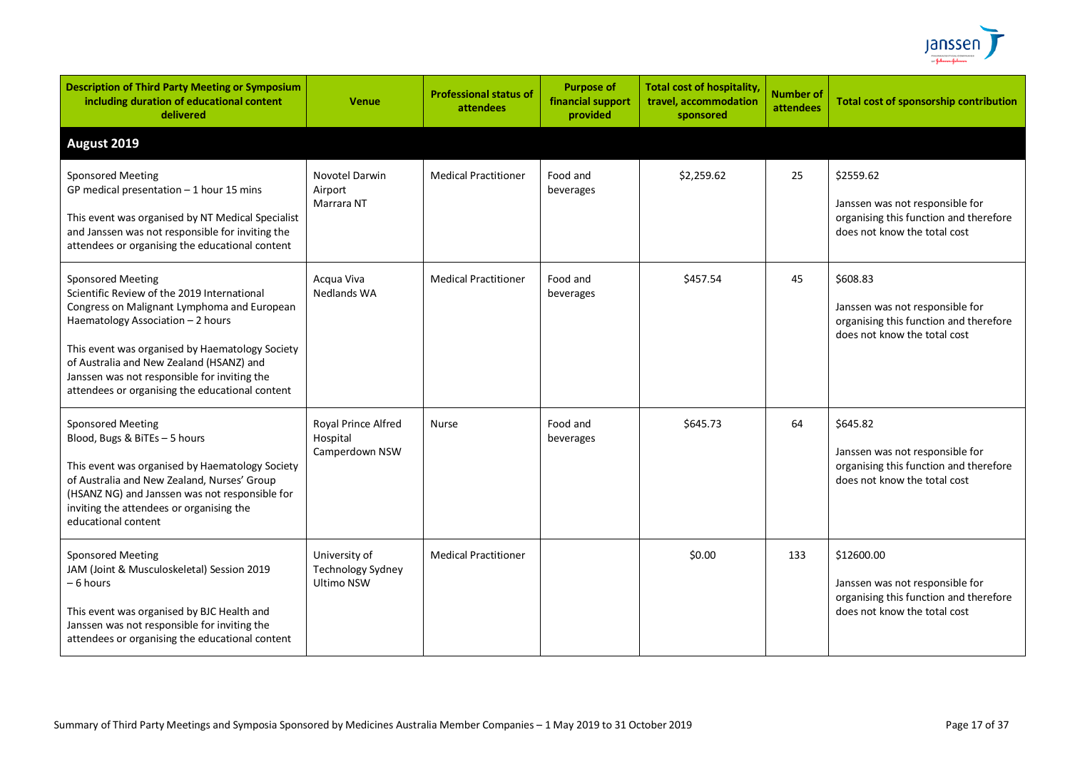

| <b>Description of Third Party Meeting or Symposium</b><br>including duration of educational content<br>delivered                                                                                                                                                                                                                                              | <b>Venue</b>                                                   | <b>Professional status of</b><br><b>attendees</b> | <b>Purpose of</b><br>financial support<br>provided | <b>Total cost of hospitality,</b><br>travel, accommodation<br>sponsored | <b>Number of</b><br><b>attendees</b> | <b>Total cost of sponsorship contribution</b>                                                                           |
|---------------------------------------------------------------------------------------------------------------------------------------------------------------------------------------------------------------------------------------------------------------------------------------------------------------------------------------------------------------|----------------------------------------------------------------|---------------------------------------------------|----------------------------------------------------|-------------------------------------------------------------------------|--------------------------------------|-------------------------------------------------------------------------------------------------------------------------|
| August 2019                                                                                                                                                                                                                                                                                                                                                   |                                                                |                                                   |                                                    |                                                                         |                                      |                                                                                                                         |
| <b>Sponsored Meeting</b><br>GP medical presentation $-1$ hour 15 mins<br>This event was organised by NT Medical Specialist<br>and Janssen was not responsible for inviting the<br>attendees or organising the educational content                                                                                                                             | Novotel Darwin<br>Airport<br>Marrara NT                        | <b>Medical Practitioner</b>                       | Food and<br>beverages                              | \$2,259.62                                                              | 25                                   | \$2559.62<br>Janssen was not responsible for<br>organising this function and therefore<br>does not know the total cost  |
| <b>Sponsored Meeting</b><br>Scientific Review of the 2019 International<br>Congress on Malignant Lymphoma and European<br>Haematology Association - 2 hours<br>This event was organised by Haematology Society<br>of Australia and New Zealand (HSANZ) and<br>Janssen was not responsible for inviting the<br>attendees or organising the educational content | Acqua Viva<br><b>Nedlands WA</b>                               | <b>Medical Practitioner</b>                       | Food and<br>beverages                              | \$457.54                                                                | 45                                   | \$608.83<br>Janssen was not responsible for<br>organising this function and therefore<br>does not know the total cost   |
| <b>Sponsored Meeting</b><br>Blood, Bugs & BiTEs - 5 hours<br>This event was organised by Haematology Society<br>of Australia and New Zealand, Nurses' Group<br>(HSANZ NG) and Janssen was not responsible for<br>inviting the attendees or organising the<br>educational content                                                                              | Royal Prince Alfred<br>Hospital<br>Camperdown NSW              | <b>Nurse</b>                                      | Food and<br>beverages                              | \$645.73                                                                | 64                                   | \$645.82<br>Janssen was not responsible for<br>organising this function and therefore<br>does not know the total cost   |
| <b>Sponsored Meeting</b><br>JAM (Joint & Musculoskeletal) Session 2019<br>- 6 hours<br>This event was organised by BJC Health and<br>Janssen was not responsible for inviting the<br>attendees or organising the educational content                                                                                                                          | University of<br><b>Technology Sydney</b><br><b>Ultimo NSW</b> | <b>Medical Practitioner</b>                       |                                                    | \$0.00                                                                  | 133                                  | \$12600.00<br>Janssen was not responsible for<br>organising this function and therefore<br>does not know the total cost |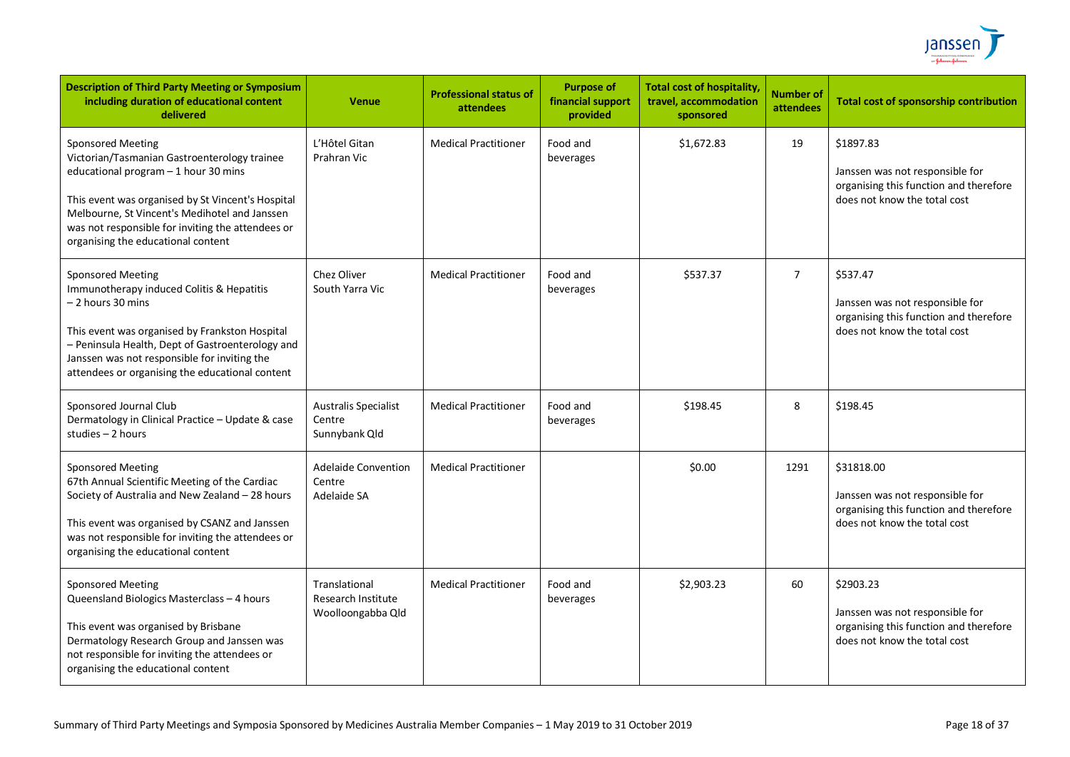

| <b>Description of Third Party Meeting or Symposium</b><br>including duration of educational content<br>delivered                                                                                                                                                                                                  | <b>Venue</b>                                                    | <b>Professional status of</b><br>attendees | <b>Purpose of</b><br>financial support<br>provided | <b>Total cost of hospitality</b><br>travel, accommodation<br>sponsored | <b>Number of</b><br>attendees | <b>Total cost of sponsorship contribution</b>                                                                           |
|-------------------------------------------------------------------------------------------------------------------------------------------------------------------------------------------------------------------------------------------------------------------------------------------------------------------|-----------------------------------------------------------------|--------------------------------------------|----------------------------------------------------|------------------------------------------------------------------------|-------------------------------|-------------------------------------------------------------------------------------------------------------------------|
| <b>Sponsored Meeting</b><br>Victorian/Tasmanian Gastroenterology trainee<br>educational program - 1 hour 30 mins<br>This event was organised by St Vincent's Hospital<br>Melbourne, St Vincent's Medihotel and Janssen<br>was not responsible for inviting the attendees or<br>organising the educational content | L'Hôtel Gitan<br>Prahran Vic                                    | <b>Medical Practitioner</b>                | Food and<br>beverages                              | \$1,672.83                                                             | 19                            | \$1897.83<br>Janssen was not responsible for<br>organising this function and therefore<br>does not know the total cost  |
| <b>Sponsored Meeting</b><br>Immunotherapy induced Colitis & Hepatitis<br>- 2 hours 30 mins<br>This event was organised by Frankston Hospital<br>- Peninsula Health, Dept of Gastroenterology and<br>Janssen was not responsible for inviting the<br>attendees or organising the educational content               | Chez Oliver<br>South Yarra Vic                                  | <b>Medical Practitioner</b>                | Food and<br>beverages                              | \$537.37                                                               | 7                             | \$537.47<br>Janssen was not responsible for<br>organising this function and therefore<br>does not know the total cost   |
| Sponsored Journal Club<br>Dermatology in Clinical Practice - Update & case<br>studies - 2 hours                                                                                                                                                                                                                   | <b>Australis Specialist</b><br>Centre<br>Sunnybank Qld          | <b>Medical Practitioner</b>                | Food and<br>beverages                              | \$198.45                                                               | 8                             | \$198.45                                                                                                                |
| <b>Sponsored Meeting</b><br>67th Annual Scientific Meeting of the Cardiac<br>Society of Australia and New Zealand - 28 hours<br>This event was organised by CSANZ and Janssen<br>was not responsible for inviting the attendees or<br>organising the educational content                                          | <b>Adelaide Convention</b><br>Centre<br>Adelaide SA             | <b>Medical Practitioner</b>                |                                                    | \$0.00                                                                 | 1291                          | \$31818.00<br>Janssen was not responsible for<br>organising this function and therefore<br>does not know the total cost |
| <b>Sponsored Meeting</b><br>Queensland Biologics Masterclass - 4 hours<br>This event was organised by Brisbane<br>Dermatology Research Group and Janssen was<br>not responsible for inviting the attendees or<br>organising the educational content                                                               | Translational<br><b>Research Institute</b><br>Woolloongabba Qld | <b>Medical Practitioner</b>                | Food and<br>beverages                              | \$2,903.23                                                             | 60                            | \$2903.23<br>Janssen was not responsible for<br>organising this function and therefore<br>does not know the total cost  |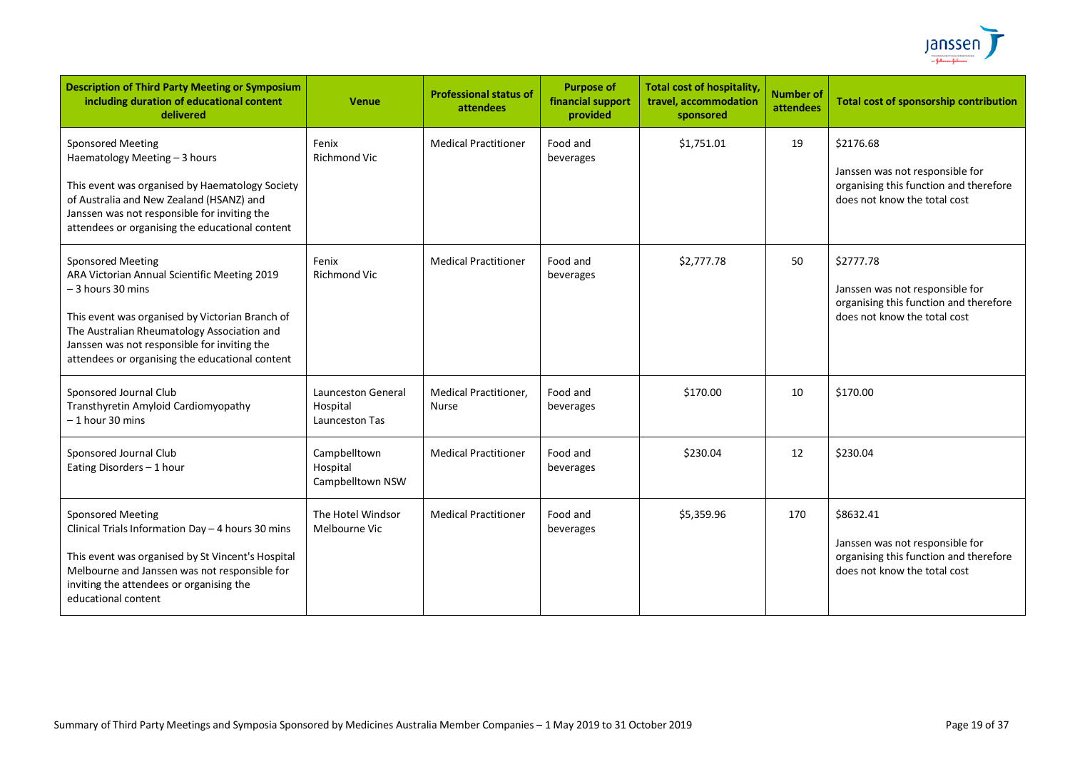

| <b>Description of Third Party Meeting or Symposium</b><br>including duration of educational content<br>delivered                                                                                                                                                                                    | <b>Venue</b>                                     | <b>Professional status of</b><br>attendees   | <b>Purpose of</b><br>financial support<br>provided | <b>Total cost of hospitality</b><br>travel, accommodation<br>sponsored | <b>Number of</b><br>attendees | <b>Total cost of sponsorship contribution</b>                                                                          |
|-----------------------------------------------------------------------------------------------------------------------------------------------------------------------------------------------------------------------------------------------------------------------------------------------------|--------------------------------------------------|----------------------------------------------|----------------------------------------------------|------------------------------------------------------------------------|-------------------------------|------------------------------------------------------------------------------------------------------------------------|
| <b>Sponsored Meeting</b><br>Haematology Meeting - 3 hours<br>This event was organised by Haematology Society<br>of Australia and New Zealand (HSANZ) and<br>Janssen was not responsible for inviting the<br>attendees or organising the educational content                                         | Fenix<br><b>Richmond Vic</b>                     | <b>Medical Practitioner</b>                  | Food and<br>beverages                              | \$1,751.01                                                             | 19                            | \$2176.68<br>Janssen was not responsible for<br>organising this function and therefore<br>does not know the total cost |
| <b>Sponsored Meeting</b><br>ARA Victorian Annual Scientific Meeting 2019<br>$-3$ hours 30 mins<br>This event was organised by Victorian Branch of<br>The Australian Rheumatology Association and<br>Janssen was not responsible for inviting the<br>attendees or organising the educational content | Fenix<br>Richmond Vic                            | <b>Medical Practitioner</b>                  | Food and<br>beverages                              | \$2,777.78                                                             | 50                            | \$2777.78<br>Janssen was not responsible for<br>organising this function and therefore<br>does not know the total cost |
| Sponsored Journal Club<br>Transthyretin Amyloid Cardiomyopathy<br>$-1$ hour 30 mins                                                                                                                                                                                                                 | Launceston General<br>Hospital<br>Launceston Tas | <b>Medical Practitioner,</b><br><b>Nurse</b> | Food and<br>beverages                              | \$170.00                                                               | 10                            | \$170.00                                                                                                               |
| Sponsored Journal Club<br>Eating Disorders - 1 hour                                                                                                                                                                                                                                                 | Campbelltown<br>Hospital<br>Campbelltown NSW     | <b>Medical Practitioner</b>                  | Food and<br>beverages                              | \$230.04                                                               | 12                            | \$230.04                                                                                                               |
| <b>Sponsored Meeting</b><br>Clinical Trials Information Day - 4 hours 30 mins<br>This event was organised by St Vincent's Hospital<br>Melbourne and Janssen was not responsible for<br>inviting the attendees or organising the<br>educational content                                              | The Hotel Windsor<br>Melbourne Vic               | <b>Medical Practitioner</b>                  | Food and<br>beverages                              | \$5,359.96                                                             | 170                           | \$8632.41<br>Janssen was not responsible for<br>organising this function and therefore<br>does not know the total cost |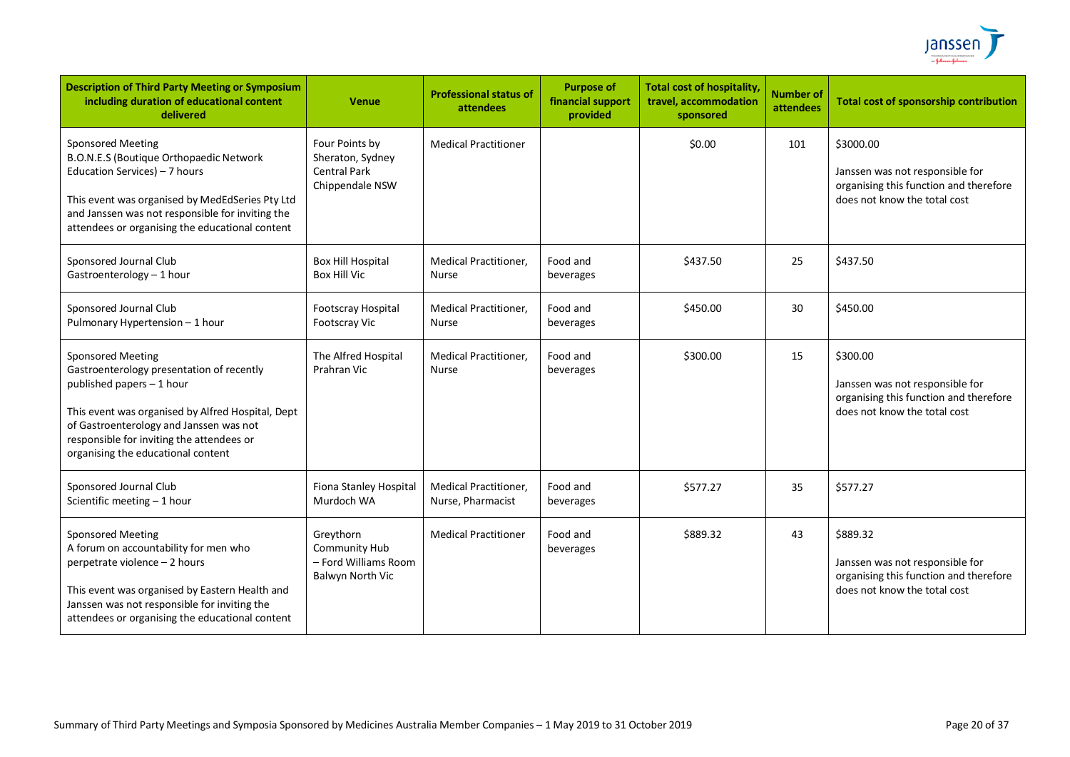

| <b>Description of Third Party Meeting or Symposium</b><br>including duration of educational content<br>delivered                                                                                                                                                                      | <b>Venue</b>                                                                 | <b>Professional status of</b><br>attendees        | <b>Purpose of</b><br>financial support<br>provided | <b>Total cost of hospitality,</b><br>travel, accommodation<br>sponsored | <b>Number of</b><br>attendees | Total cost of sponsorship contribution                                                                                 |
|---------------------------------------------------------------------------------------------------------------------------------------------------------------------------------------------------------------------------------------------------------------------------------------|------------------------------------------------------------------------------|---------------------------------------------------|----------------------------------------------------|-------------------------------------------------------------------------|-------------------------------|------------------------------------------------------------------------------------------------------------------------|
| <b>Sponsored Meeting</b><br>B.O.N.E.S (Boutique Orthopaedic Network<br>Education Services) - 7 hours<br>This event was organised by MedEdSeries Pty Ltd<br>and Janssen was not responsible for inviting the<br>attendees or organising the educational content                        | Four Points by<br>Sheraton, Sydney<br><b>Central Park</b><br>Chippendale NSW | <b>Medical Practitioner</b>                       |                                                    | \$0.00                                                                  | 101                           | \$3000.00<br>Janssen was not responsible for<br>organising this function and therefore<br>does not know the total cost |
| Sponsored Journal Club<br>Gastroenterology - 1 hour                                                                                                                                                                                                                                   | <b>Box Hill Hospital</b><br><b>Box Hill Vic</b>                              | <b>Medical Practitioner,</b><br><b>Nurse</b>      | Food and<br>beverages                              | \$437.50                                                                | 25                            | \$437.50                                                                                                               |
| Sponsored Journal Club<br>Pulmonary Hypertension - 1 hour                                                                                                                                                                                                                             | Footscray Hospital<br>Footscray Vic                                          | <b>Medical Practitioner,</b><br><b>Nurse</b>      | Food and<br>beverages                              | \$450.00                                                                | 30                            | \$450.00                                                                                                               |
| <b>Sponsored Meeting</b><br>Gastroenterology presentation of recently<br>published papers - 1 hour<br>This event was organised by Alfred Hospital, Dept<br>of Gastroenterology and Janssen was not<br>responsible for inviting the attendees or<br>organising the educational content | The Alfred Hospital<br>Prahran Vic                                           | Medical Practitioner,<br><b>Nurse</b>             | Food and<br>beverages                              | \$300.00                                                                | 15                            | \$300.00<br>Janssen was not responsible for<br>organising this function and therefore<br>does not know the total cost  |
| Sponsored Journal Club<br>Scientific meeting - 1 hour                                                                                                                                                                                                                                 | Fiona Stanley Hospital<br>Murdoch WA                                         | <b>Medical Practitioner,</b><br>Nurse, Pharmacist | Food and<br>beverages                              | \$577.27                                                                | 35                            | \$577.27                                                                                                               |
| <b>Sponsored Meeting</b><br>A forum on accountability for men who<br>perpetrate violence - 2 hours<br>This event was organised by Eastern Health and<br>Janssen was not responsible for inviting the<br>attendees or organising the educational content                               | Greythorn<br>Community Hub<br>- Ford Williams Room<br>Balwyn North Vic       | <b>Medical Practitioner</b>                       | Food and<br>beverages                              | \$889.32                                                                | 43                            | \$889.32<br>Janssen was not responsible for<br>organising this function and therefore<br>does not know the total cost  |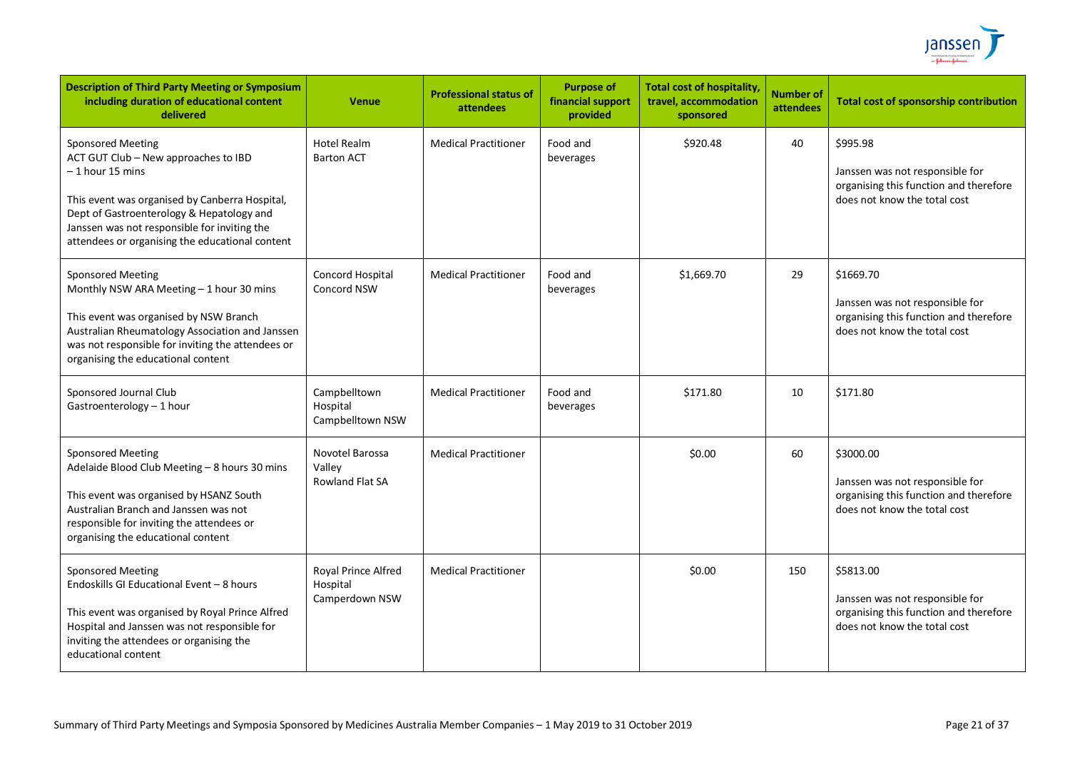

| <b>Description of Third Party Meeting or Symposium</b><br>including duration of educational content<br>delivered                                                                                                                                                                       | <b>Venue</b>                                      | <b>Professional status of</b><br>attendees | <b>Purpose of</b><br>financial support<br>provided | <b>Total cost of hospitality</b><br>travel, accommodation<br>sponsored | <b>Number of</b><br>attendees | <b>Total cost of sponsorship contribution</b>                                                                          |
|----------------------------------------------------------------------------------------------------------------------------------------------------------------------------------------------------------------------------------------------------------------------------------------|---------------------------------------------------|--------------------------------------------|----------------------------------------------------|------------------------------------------------------------------------|-------------------------------|------------------------------------------------------------------------------------------------------------------------|
| <b>Sponsored Meeting</b><br>ACT GUT Club - New approaches to IBD<br>– 1 hour 15 mins<br>This event was organised by Canberra Hospital,<br>Dept of Gastroenterology & Hepatology and<br>Janssen was not responsible for inviting the<br>attendees or organising the educational content | <b>Hotel Realm</b><br><b>Barton ACT</b>           | <b>Medical Practitioner</b>                | Food and<br>beverages                              | \$920.48                                                               | 40                            | \$995.98<br>Janssen was not responsible for<br>organising this function and therefore<br>does not know the total cost  |
| <b>Sponsored Meeting</b><br>Monthly NSW ARA Meeting - 1 hour 30 mins<br>This event was organised by NSW Branch<br>Australian Rheumatology Association and Janssen<br>was not responsible for inviting the attendees or<br>organising the educational content                           | Concord Hospital<br><b>Concord NSW</b>            | <b>Medical Practitioner</b>                | Food and<br>beverages                              | \$1,669.70                                                             | 29                            | \$1669.70<br>Janssen was not responsible for<br>organising this function and therefore<br>does not know the total cost |
| Sponsored Journal Club<br>Gastroenterology - 1 hour                                                                                                                                                                                                                                    | Campbelltown<br>Hospital<br>Campbelltown NSW      | <b>Medical Practitioner</b>                | Food and<br>beverages                              | \$171.80                                                               | 10                            | \$171.80                                                                                                               |
| <b>Sponsored Meeting</b><br>Adelaide Blood Club Meeting - 8 hours 30 mins<br>This event was organised by HSANZ South<br>Australian Branch and Janssen was not<br>responsible for inviting the attendees or<br>organising the educational content                                       | Novotel Barossa<br>Valley<br>Rowland Flat SA      | <b>Medical Practitioner</b>                |                                                    | \$0.00                                                                 | 60                            | \$3000.00<br>Janssen was not responsible for<br>organising this function and therefore<br>does not know the total cost |
| Sponsored Meeting<br>Endoskills GI Educational Event - 8 hours<br>This event was organised by Royal Prince Alfred<br>Hospital and Janssen was not responsible for<br>inviting the attendees or organising the<br>educational content                                                   | Royal Prince Alfred<br>Hospital<br>Camperdown NSW | <b>Medical Practitioner</b>                |                                                    | \$0.00                                                                 | 150                           | \$5813.00<br>Janssen was not responsible for<br>organising this function and therefore<br>does not know the total cost |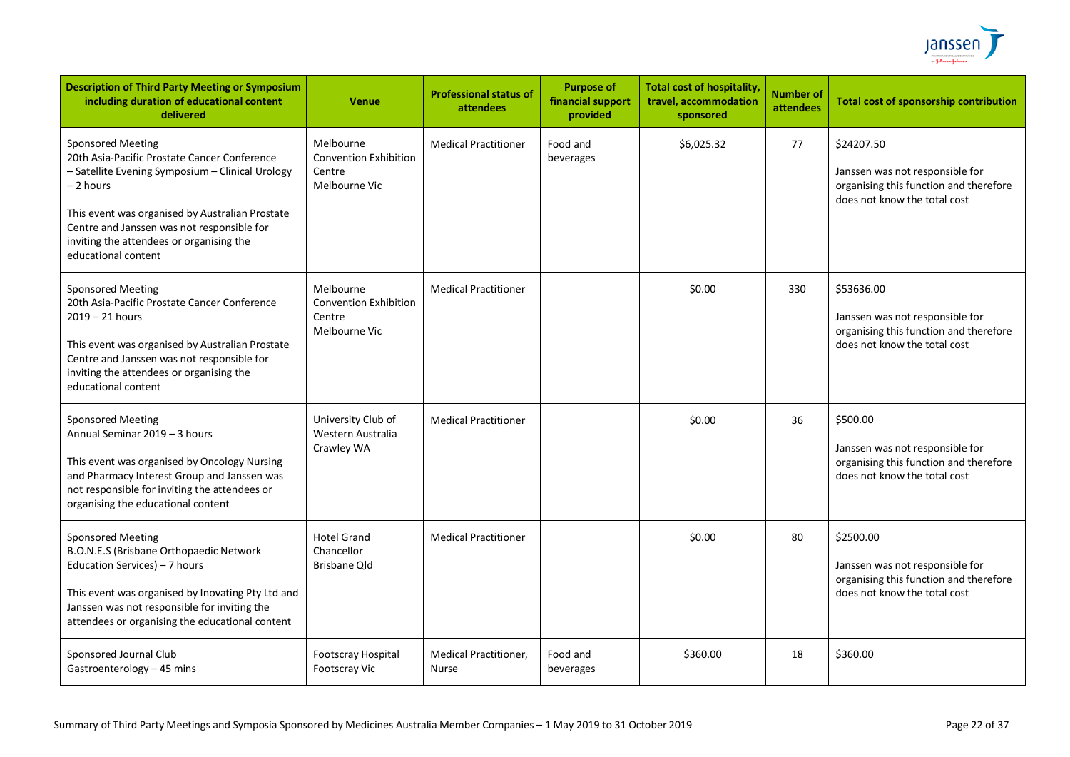

| <b>Description of Third Party Meeting or Symposium</b><br>including duration of educational content<br>delivered                                                                                                                                                                                       | <b>Venue</b>                                                         | <b>Professional status of</b><br>attendees | <b>Purpose of</b><br>financial support<br>provided | <b>Total cost of hospitality,</b><br>travel, accommodation<br>sponsored | <b>Number of</b><br><b>attendees</b> | <b>Total cost of sponsorship contribution</b>                                                                           |
|--------------------------------------------------------------------------------------------------------------------------------------------------------------------------------------------------------------------------------------------------------------------------------------------------------|----------------------------------------------------------------------|--------------------------------------------|----------------------------------------------------|-------------------------------------------------------------------------|--------------------------------------|-------------------------------------------------------------------------------------------------------------------------|
| Sponsored Meeting<br>20th Asia-Pacific Prostate Cancer Conference<br>- Satellite Evening Symposium - Clinical Urology<br>– 2 hours<br>This event was organised by Australian Prostate<br>Centre and Janssen was not responsible for<br>inviting the attendees or organising the<br>educational content | Melbourne<br><b>Convention Exhibition</b><br>Centre<br>Melbourne Vic | <b>Medical Practitioner</b>                | Food and<br>beverages                              | \$6,025.32                                                              | 77                                   | \$24207.50<br>Janssen was not responsible for<br>organising this function and therefore<br>does not know the total cost |
| <b>Sponsored Meeting</b><br>20th Asia-Pacific Prostate Cancer Conference<br>$2019 - 21$ hours<br>This event was organised by Australian Prostate<br>Centre and Janssen was not responsible for<br>inviting the attendees or organising the<br>educational content                                      | Melbourne<br><b>Convention Exhibition</b><br>Centre<br>Melbourne Vic | <b>Medical Practitioner</b>                |                                                    | \$0.00                                                                  | 330                                  | \$53636.00<br>Janssen was not responsible for<br>organising this function and therefore<br>does not know the total cost |
| <b>Sponsored Meeting</b><br>Annual Seminar 2019 - 3 hours<br>This event was organised by Oncology Nursing<br>and Pharmacy Interest Group and Janssen was<br>not responsible for inviting the attendees or<br>organising the educational content                                                        | University Club of<br>Western Australia<br>Crawley WA                | <b>Medical Practitioner</b>                |                                                    | \$0.00                                                                  | 36                                   | \$500.00<br>Janssen was not responsible for<br>organising this function and therefore<br>does not know the total cost   |
| <b>Sponsored Meeting</b><br>B.O.N.E.S (Brisbane Orthopaedic Network<br>Education Services) - 7 hours<br>This event was organised by Inovating Pty Ltd and<br>Janssen was not responsible for inviting the<br>attendees or organising the educational content                                           | <b>Hotel Grand</b><br>Chancellor<br>Brisbane Qld                     | <b>Medical Practitioner</b>                |                                                    | \$0.00                                                                  | 80                                   | \$2500.00<br>Janssen was not responsible for<br>organising this function and therefore<br>does not know the total cost  |
| Sponsored Journal Club<br>Gastroenterology - 45 mins                                                                                                                                                                                                                                                   | Footscray Hospital<br><b>Footscray Vic</b>                           | Medical Practitioner,<br>Nurse             | Food and<br>beverages                              | \$360.00                                                                | 18                                   | \$360.00                                                                                                                |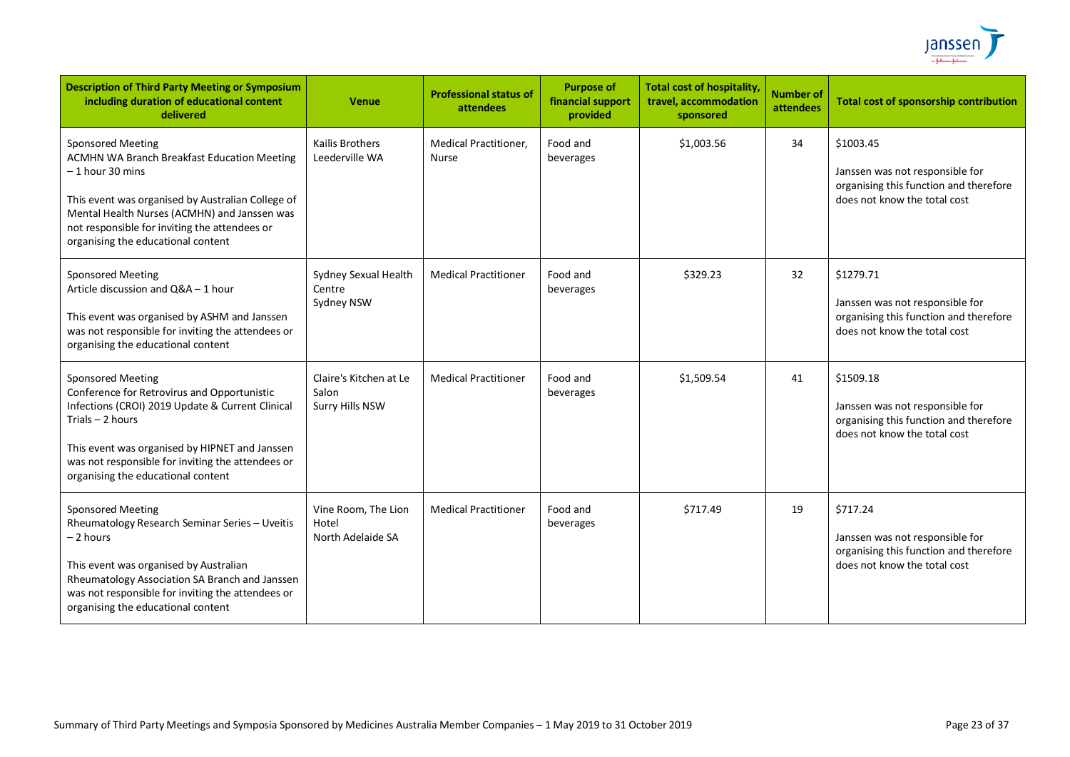

| <b>Description of Third Party Meeting or Symposium</b><br>including duration of educational content<br>delivered                                                                                                                                                                               | <b>Venue</b>                                       | <b>Professional status of</b><br>attendees | <b>Purpose of</b><br>financial support<br>provided | <b>Total cost of hospitality</b><br>travel, accommodation<br>sponsored | <b>Number of</b><br>attendees | <b>Total cost of sponsorship contribution</b>                                                                          |
|------------------------------------------------------------------------------------------------------------------------------------------------------------------------------------------------------------------------------------------------------------------------------------------------|----------------------------------------------------|--------------------------------------------|----------------------------------------------------|------------------------------------------------------------------------|-------------------------------|------------------------------------------------------------------------------------------------------------------------|
| <b>Sponsored Meeting</b><br><b>ACMHN WA Branch Breakfast Education Meeting</b><br>– 1 hour 30 mins<br>This event was organised by Australian College of<br>Mental Health Nurses (ACMHN) and Janssen was<br>not responsible for inviting the attendees or<br>organising the educational content | <b>Kailis Brothers</b><br>Leederville WA           | <b>Medical Practitioner,</b><br>Nurse      | Food and<br>beverages                              | \$1,003.56                                                             | 34                            | \$1003.45<br>Janssen was not responsible for<br>organising this function and therefore<br>does not know the total cost |
| <b>Sponsored Meeting</b><br>Article discussion and Q&A - 1 hour<br>This event was organised by ASHM and Janssen<br>was not responsible for inviting the attendees or<br>organising the educational content                                                                                     | Sydney Sexual Health<br>Centre<br>Sydney NSW       | <b>Medical Practitioner</b>                | Food and<br>beverages                              | \$329.23                                                               | 32                            | \$1279.71<br>Janssen was not responsible for<br>organising this function and therefore<br>does not know the total cost |
| <b>Sponsored Meeting</b><br>Conference for Retrovirus and Opportunistic<br>Infections (CROI) 2019 Update & Current Clinical<br>Trials $-2$ hours<br>This event was organised by HIPNET and Janssen<br>was not responsible for inviting the attendees or<br>organising the educational content  | Claire's Kitchen at Le<br>Salon<br>Surry Hills NSW | <b>Medical Practitioner</b>                | Food and<br>beverages                              | \$1,509.54                                                             | 41                            | \$1509.18<br>Janssen was not responsible for<br>organising this function and therefore<br>does not know the total cost |
| Sponsored Meeting<br>Rheumatology Research Seminar Series - Uveitis<br>- 2 hours<br>This event was organised by Australian<br>Rheumatology Association SA Branch and Janssen<br>was not responsible for inviting the attendees or<br>organising the educational content                        | Vine Room, The Lion<br>Hotel<br>North Adelaide SA  | <b>Medical Practitioner</b>                | Food and<br>beverages                              | \$717.49                                                               | 19                            | \$717.24<br>Janssen was not responsible for<br>organising this function and therefore<br>does not know the total cost  |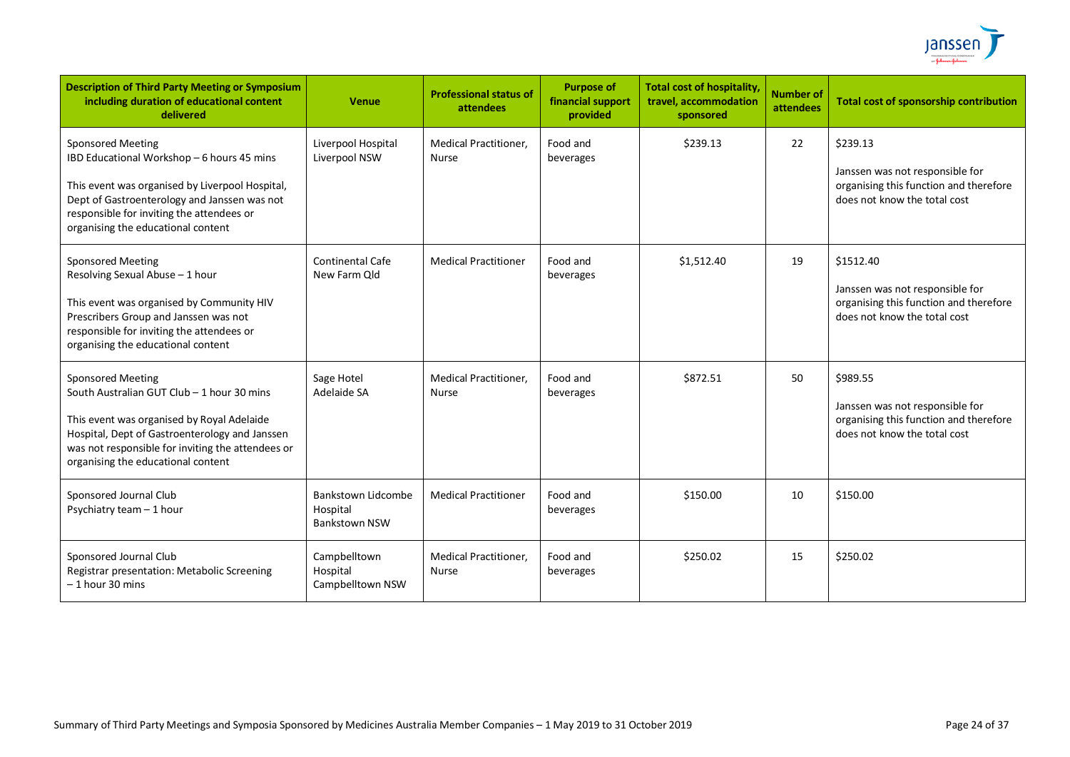

| <b>Description of Third Party Meeting or Symposium</b><br>including duration of educational content<br>delivered                                                                                                                                                  | <b>Venue</b>                                                  | <b>Professional status of</b><br>attendees   | <b>Purpose of</b><br>financial support<br>provided | <b>Total cost of hospitality,</b><br>travel, accommodation<br>sponsored | <b>Number of</b><br>attendees | <b>Total cost of sponsorship contribution</b>                                                                          |
|-------------------------------------------------------------------------------------------------------------------------------------------------------------------------------------------------------------------------------------------------------------------|---------------------------------------------------------------|----------------------------------------------|----------------------------------------------------|-------------------------------------------------------------------------|-------------------------------|------------------------------------------------------------------------------------------------------------------------|
| <b>Sponsored Meeting</b><br>IBD Educational Workshop - 6 hours 45 mins<br>This event was organised by Liverpool Hospital,<br>Dept of Gastroenterology and Janssen was not<br>responsible for inviting the attendees or<br>organising the educational content      | Liverpool Hospital<br>Liverpool NSW                           | <b>Medical Practitioner,</b><br><b>Nurse</b> | Food and<br>beverages                              | \$239.13                                                                | 22                            | \$239.13<br>Janssen was not responsible for<br>organising this function and therefore<br>does not know the total cost  |
| <b>Sponsored Meeting</b><br>Resolving Sexual Abuse - 1 hour<br>This event was organised by Community HIV<br>Prescribers Group and Janssen was not<br>responsible for inviting the attendees or<br>organising the educational content                              | <b>Continental Cafe</b><br>New Farm Qld                       | <b>Medical Practitioner</b>                  | Food and<br>beverages                              | \$1,512.40                                                              | 19                            | \$1512.40<br>Janssen was not responsible for<br>organising this function and therefore<br>does not know the total cost |
| <b>Sponsored Meeting</b><br>South Australian GUT Club - 1 hour 30 mins<br>This event was organised by Royal Adelaide<br>Hospital, Dept of Gastroenterology and Janssen<br>was not responsible for inviting the attendees or<br>organising the educational content | Sage Hotel<br>Adelaide SA                                     | <b>Medical Practitioner.</b><br><b>Nurse</b> | Food and<br>beverages                              | \$872.51                                                                | 50                            | \$989.55<br>Janssen was not responsible for<br>organising this function and therefore<br>does not know the total cost  |
| Sponsored Journal Club<br>Psychiatry team - 1 hour                                                                                                                                                                                                                | <b>Bankstown Lidcombe</b><br>Hospital<br><b>Bankstown NSW</b> | <b>Medical Practitioner</b>                  | Food and<br>beverages                              | \$150.00                                                                | 10                            | \$150.00                                                                                                               |
| Sponsored Journal Club<br>Registrar presentation: Metabolic Screening<br>$-1$ hour 30 mins                                                                                                                                                                        | Campbelltown<br>Hospital<br>Campbelltown NSW                  | <b>Medical Practitioner,</b><br>Nurse        | Food and<br>beverages                              | \$250.02                                                                | 15                            | \$250.02                                                                                                               |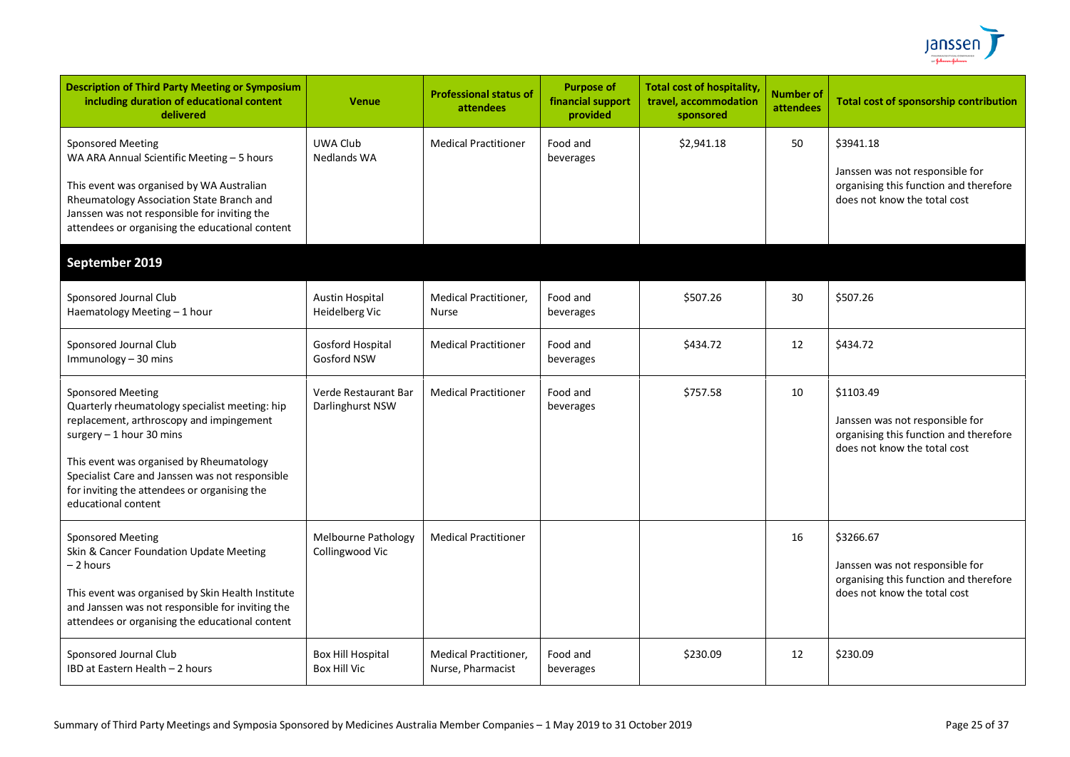

| <b>Description of Third Party Meeting or Symposium</b><br>including duration of educational content<br>delivered                                                                                                                                                                                                          | <b>Venue</b>                                    | <b>Professional status of</b><br>attendees        | <b>Purpose of</b><br>financial support<br>provided | <b>Total cost of hospitality,</b><br>travel, accommodation<br>sponsored | <b>Number of</b><br>attendees | <b>Total cost of sponsorship contribution</b>                                                                          |
|---------------------------------------------------------------------------------------------------------------------------------------------------------------------------------------------------------------------------------------------------------------------------------------------------------------------------|-------------------------------------------------|---------------------------------------------------|----------------------------------------------------|-------------------------------------------------------------------------|-------------------------------|------------------------------------------------------------------------------------------------------------------------|
| Sponsored Meeting<br>WA ARA Annual Scientific Meeting - 5 hours<br>This event was organised by WA Australian<br>Rheumatology Association State Branch and<br>Janssen was not responsible for inviting the<br>attendees or organising the educational content                                                              | UWA Club<br><b>Nedlands WA</b>                  | <b>Medical Practitioner</b>                       | Food and<br>beverages                              | \$2,941.18                                                              | 50                            | \$3941.18<br>Janssen was not responsible for<br>organising this function and therefore<br>does not know the total cost |
| September 2019                                                                                                                                                                                                                                                                                                            |                                                 |                                                   |                                                    |                                                                         |                               |                                                                                                                        |
| Sponsored Journal Club<br>Haematology Meeting - 1 hour                                                                                                                                                                                                                                                                    | <b>Austin Hospital</b><br>Heidelberg Vic        | <b>Medical Practitioner,</b><br><b>Nurse</b>      | Food and<br>beverages                              | \$507.26                                                                | 30                            | \$507.26                                                                                                               |
| Sponsored Journal Club<br>Immunology - 30 mins                                                                                                                                                                                                                                                                            | Gosford Hospital<br>Gosford NSW                 | <b>Medical Practitioner</b>                       | Food and<br>beverages                              | \$434.72                                                                | 12                            | \$434.72                                                                                                               |
| <b>Sponsored Meeting</b><br>Quarterly rheumatology specialist meeting: hip<br>replacement, arthroscopy and impingement<br>surgery $-1$ hour 30 mins<br>This event was organised by Rheumatology<br>Specialist Care and Janssen was not responsible<br>for inviting the attendees or organising the<br>educational content | Verde Restaurant Bar<br>Darlinghurst NSW        | <b>Medical Practitioner</b>                       | Food and<br>beverages                              | \$757.58                                                                | 10                            | \$1103.49<br>Janssen was not responsible for<br>organising this function and therefore<br>does not know the total cost |
| Sponsored Meeting<br>Skin & Cancer Foundation Update Meeting<br>- 2 hours<br>This event was organised by Skin Health Institute<br>and Janssen was not responsible for inviting the<br>attendees or organising the educational content                                                                                     | Melbourne Pathology<br>Collingwood Vic          | <b>Medical Practitioner</b>                       |                                                    |                                                                         | 16                            | \$3266.67<br>Janssen was not responsible for<br>organising this function and therefore<br>does not know the total cost |
| Sponsored Journal Club<br>IBD at Eastern Health - 2 hours                                                                                                                                                                                                                                                                 | <b>Box Hill Hospital</b><br><b>Box Hill Vic</b> | <b>Medical Practitioner,</b><br>Nurse, Pharmacist | Food and<br>beverages                              | \$230.09                                                                | 12                            | \$230.09                                                                                                               |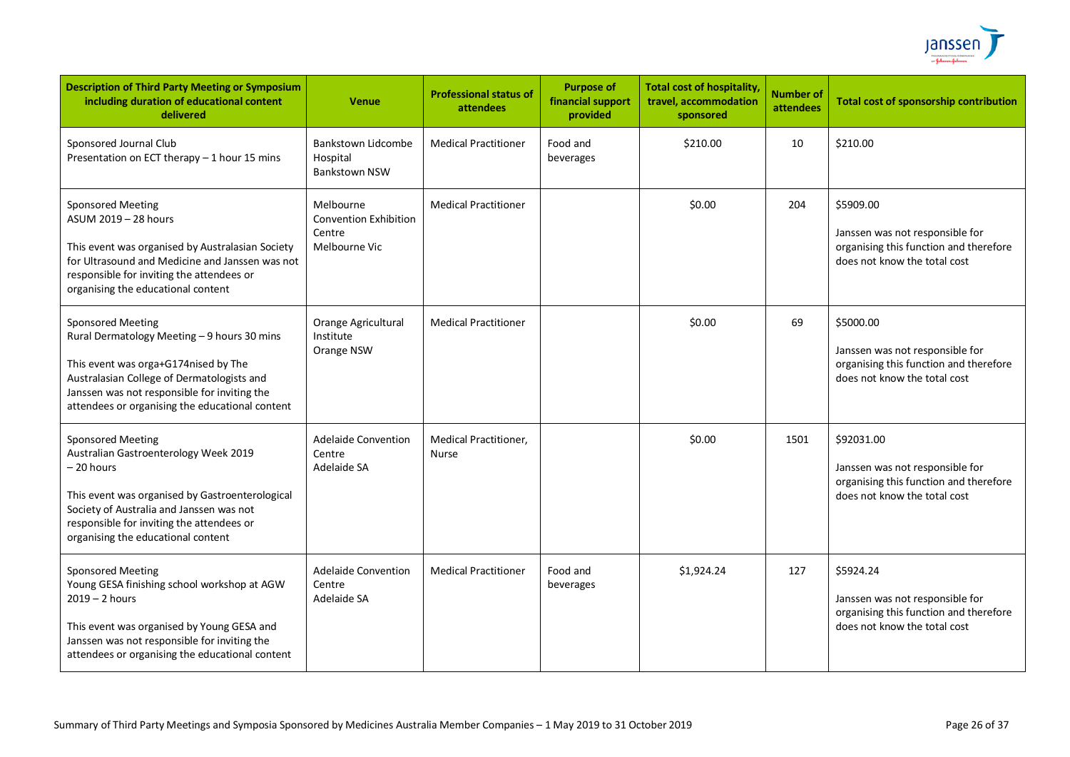

| <b>Description of Third Party Meeting or Symposium</b><br>including duration of educational content<br>delivered                                                                                                                                                  | <b>Venue</b>                                                         | <b>Professional status of</b><br>attendees | <b>Purpose of</b><br>financial support<br>provided | <b>Total cost of hospitality,</b><br>travel, accommodation<br>sponsored | <b>Number of</b><br>attendees | <b>Total cost of sponsorship contribution</b>                                                                           |
|-------------------------------------------------------------------------------------------------------------------------------------------------------------------------------------------------------------------------------------------------------------------|----------------------------------------------------------------------|--------------------------------------------|----------------------------------------------------|-------------------------------------------------------------------------|-------------------------------|-------------------------------------------------------------------------------------------------------------------------|
| Sponsored Journal Club<br>Presentation on ECT therapy - 1 hour 15 mins                                                                                                                                                                                            | Bankstown Lidcombe<br>Hospital<br><b>Bankstown NSW</b>               | <b>Medical Practitioner</b>                | Food and<br>beverages                              | \$210.00                                                                | 10                            | \$210.00                                                                                                                |
| <b>Sponsored Meeting</b><br>ASUM 2019 - 28 hours<br>This event was organised by Australasian Society<br>for Ultrasound and Medicine and Janssen was not<br>responsible for inviting the attendees or<br>organising the educational content                        | Melbourne<br><b>Convention Exhibition</b><br>Centre<br>Melbourne Vic | <b>Medical Practitioner</b>                |                                                    | \$0.00                                                                  | 204                           | \$5909.00<br>Janssen was not responsible for<br>organising this function and therefore<br>does not know the total cost  |
| <b>Sponsored Meeting</b><br>Rural Dermatology Meeting - 9 hours 30 mins<br>This event was orga+G174nised by The<br>Australasian College of Dermatologists and<br>Janssen was not responsible for inviting the<br>attendees or organising the educational content  | Orange Agricultural<br>Institute<br>Orange NSW                       | <b>Medical Practitioner</b>                |                                                    | \$0.00                                                                  | 69                            | \$5000.00<br>Janssen was not responsible for<br>organising this function and therefore<br>does not know the total cost  |
| <b>Sponsored Meeting</b><br>Australian Gastroenterology Week 2019<br>– 20 hours<br>This event was organised by Gastroenterological<br>Society of Australia and Janssen was not<br>responsible for inviting the attendees or<br>organising the educational content | <b>Adelaide Convention</b><br>Centre<br>Adelaide SA                  | Medical Practitioner,<br><b>Nurse</b>      |                                                    | \$0.00                                                                  | 1501                          | \$92031.00<br>Janssen was not responsible for<br>organising this function and therefore<br>does not know the total cost |
| <b>Sponsored Meeting</b><br>Young GESA finishing school workshop at AGW<br>$2019 - 2$ hours<br>This event was organised by Young GESA and<br>Janssen was not responsible for inviting the<br>attendees or organising the educational content                      | <b>Adelaide Convention</b><br>Centre<br>Adelaide SA                  | <b>Medical Practitioner</b>                | Food and<br>beverages                              | \$1,924.24                                                              | 127                           | \$5924.24<br>Janssen was not responsible for<br>organising this function and therefore<br>does not know the total cost  |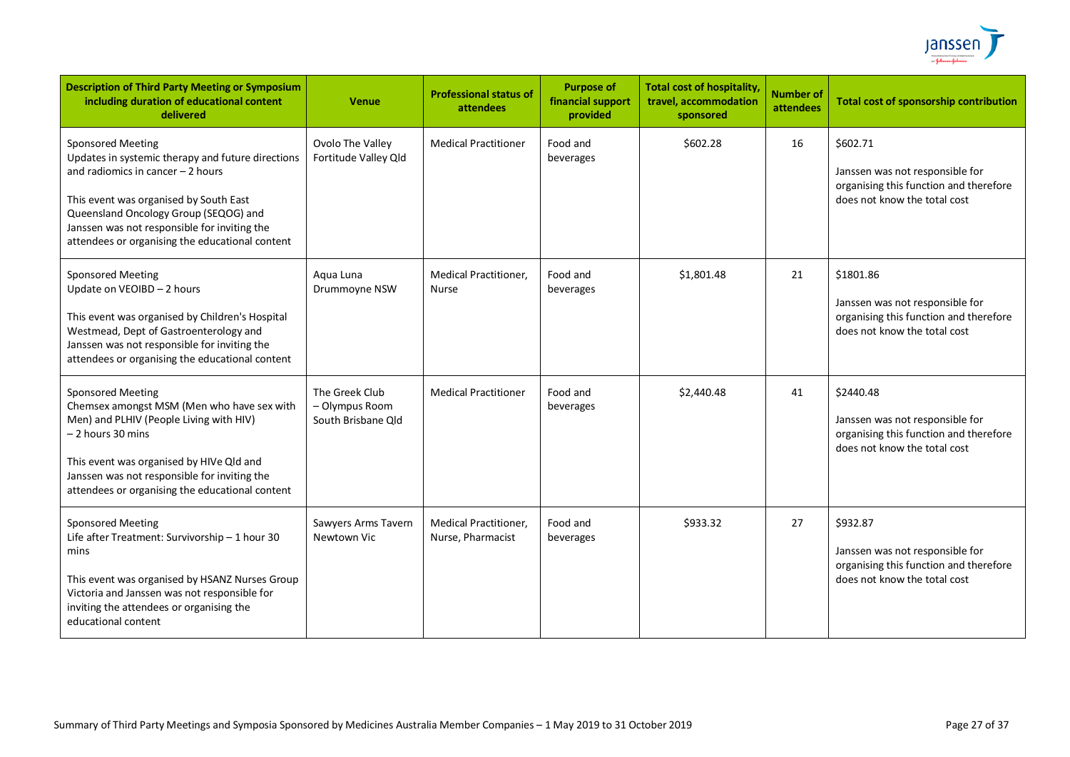

| <b>Description of Third Party Meeting or Symposium</b><br>including duration of educational content<br>delivered                                                                                                                                                                                          | <b>Venue</b>                                           | <b>Professional status of</b><br>attendees        | <b>Purpose of</b><br>financial support<br>provided | <b>Total cost of hospitality</b><br>travel, accommodation<br>sponsored | <b>Number of</b><br>attendees | <b>Total cost of sponsorship contribution</b>                                                                          |
|-----------------------------------------------------------------------------------------------------------------------------------------------------------------------------------------------------------------------------------------------------------------------------------------------------------|--------------------------------------------------------|---------------------------------------------------|----------------------------------------------------|------------------------------------------------------------------------|-------------------------------|------------------------------------------------------------------------------------------------------------------------|
| <b>Sponsored Meeting</b><br>Updates in systemic therapy and future directions<br>and radiomics in cancer $-2$ hours<br>This event was organised by South East<br>Queensland Oncology Group (SEQOG) and<br>Janssen was not responsible for inviting the<br>attendees or organising the educational content | Ovolo The Valley<br>Fortitude Valley Qld               | <b>Medical Practitioner</b>                       | Food and<br>beverages                              | \$602.28                                                               | 16                            | \$602.71<br>Janssen was not responsible for<br>organising this function and therefore<br>does not know the total cost  |
| <b>Sponsored Meeting</b><br>Update on VEOIBD - 2 hours<br>This event was organised by Children's Hospital<br>Westmead, Dept of Gastroenterology and<br>Janssen was not responsible for inviting the<br>attendees or organising the educational content                                                    | Aqua Luna<br>Drummoyne NSW                             | <b>Medical Practitioner,</b><br><b>Nurse</b>      | Food and<br>beverages                              | \$1,801.48                                                             | 21                            | \$1801.86<br>Janssen was not responsible for<br>organising this function and therefore<br>does not know the total cost |
| <b>Sponsored Meeting</b><br>Chemsex amongst MSM (Men who have sex with<br>Men) and PLHIV (People Living with HIV)<br>– 2 hours 30 mins<br>This event was organised by HIVe Qld and<br>Janssen was not responsible for inviting the<br>attendees or organising the educational content                     | The Greek Club<br>- Olympus Room<br>South Brisbane Old | <b>Medical Practitioner</b>                       | Food and<br>beverages                              | \$2,440.48                                                             | 41                            | \$2440.48<br>Janssen was not responsible for<br>organising this function and therefore<br>does not know the total cost |
| <b>Sponsored Meeting</b><br>Life after Treatment: Survivorship - 1 hour 30<br>mins<br>This event was organised by HSANZ Nurses Group<br>Victoria and Janssen was not responsible for<br>inviting the attendees or organising the<br>educational content                                                   | Sawyers Arms Tavern<br>Newtown Vic                     | <b>Medical Practitioner,</b><br>Nurse, Pharmacist | Food and<br>beverages                              | \$933.32                                                               | 27                            | \$932.87<br>Janssen was not responsible for<br>organising this function and therefore<br>does not know the total cost  |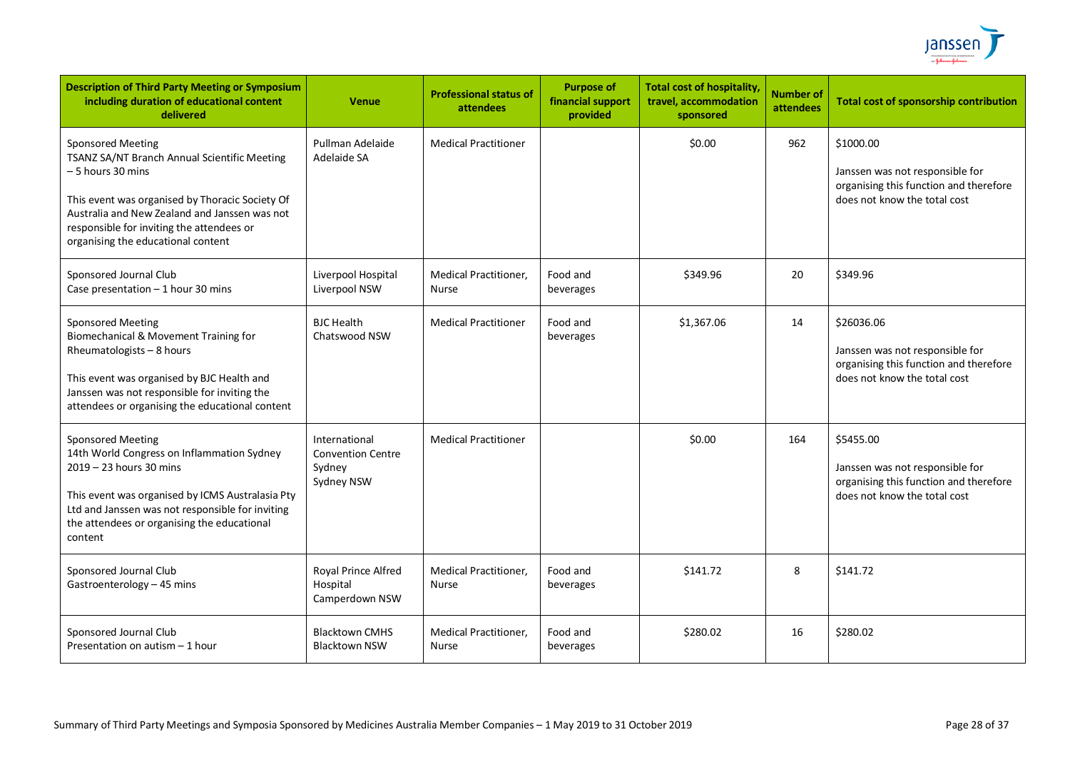

| <b>Description of Third Party Meeting or Symposium</b><br>including duration of educational content<br>delivered                                                                                                                                                                     | <b>Venue</b>                                                      | <b>Professional status of</b><br>attendees   | <b>Purpose of</b><br>financial support<br>provided | <b>Total cost of hospitality,</b><br>travel, accommodation<br>sponsored | <b>Number of</b><br>attendees | <b>Total cost of sponsorship contribution</b>                                                                           |
|--------------------------------------------------------------------------------------------------------------------------------------------------------------------------------------------------------------------------------------------------------------------------------------|-------------------------------------------------------------------|----------------------------------------------|----------------------------------------------------|-------------------------------------------------------------------------|-------------------------------|-------------------------------------------------------------------------------------------------------------------------|
| <b>Sponsored Meeting</b><br>TSANZ SA/NT Branch Annual Scientific Meeting<br>- 5 hours 30 mins<br>This event was organised by Thoracic Society Of<br>Australia and New Zealand and Janssen was not<br>responsible for inviting the attendees or<br>organising the educational content | Pullman Adelaide<br>Adelaide SA                                   | <b>Medical Practitioner</b>                  |                                                    | \$0.00                                                                  | 962                           | \$1000.00<br>Janssen was not responsible for<br>organising this function and therefore<br>does not know the total cost  |
| Sponsored Journal Club<br>Case presentation - 1 hour 30 mins                                                                                                                                                                                                                         | Liverpool Hospital<br>Liverpool NSW                               | Medical Practitioner,<br>Nurse               | Food and<br>beverages                              | \$349.96                                                                | 20                            | \$349.96                                                                                                                |
| <b>Sponsored Meeting</b><br>Biomechanical & Movement Training for<br>Rheumatologists - 8 hours<br>This event was organised by BJC Health and<br>Janssen was not responsible for inviting the<br>attendees or organising the educational content                                      | <b>BJC</b> Health<br>Chatswood NSW                                | <b>Medical Practitioner</b>                  | Food and<br>beverages                              | \$1,367.06                                                              | 14                            | \$26036.06<br>Janssen was not responsible for<br>organising this function and therefore<br>does not know the total cost |
| <b>Sponsored Meeting</b><br>14th World Congress on Inflammation Sydney<br>2019 - 23 hours 30 mins<br>This event was organised by ICMS Australasia Pty<br>Ltd and Janssen was not responsible for inviting<br>the attendees or organising the educational<br>content                  | International<br><b>Convention Centre</b><br>Sydney<br>Sydney NSW | <b>Medical Practitioner</b>                  |                                                    | \$0.00                                                                  | 164                           | \$5455.00<br>Janssen was not responsible for<br>organising this function and therefore<br>does not know the total cost  |
| Sponsored Journal Club<br>Gastroenterology - 45 mins                                                                                                                                                                                                                                 | Royal Prince Alfred<br>Hospital<br>Camperdown NSW                 | <b>Medical Practitioner.</b><br><b>Nurse</b> | Food and<br>beverages                              | \$141.72                                                                | 8                             | \$141.72                                                                                                                |
| Sponsored Journal Club<br>Presentation on autism - 1 hour                                                                                                                                                                                                                            | <b>Blacktown CMHS</b><br><b>Blacktown NSW</b>                     | Medical Practitioner,<br>Nurse               | Food and<br>beverages                              | \$280.02                                                                | 16                            | \$280.02                                                                                                                |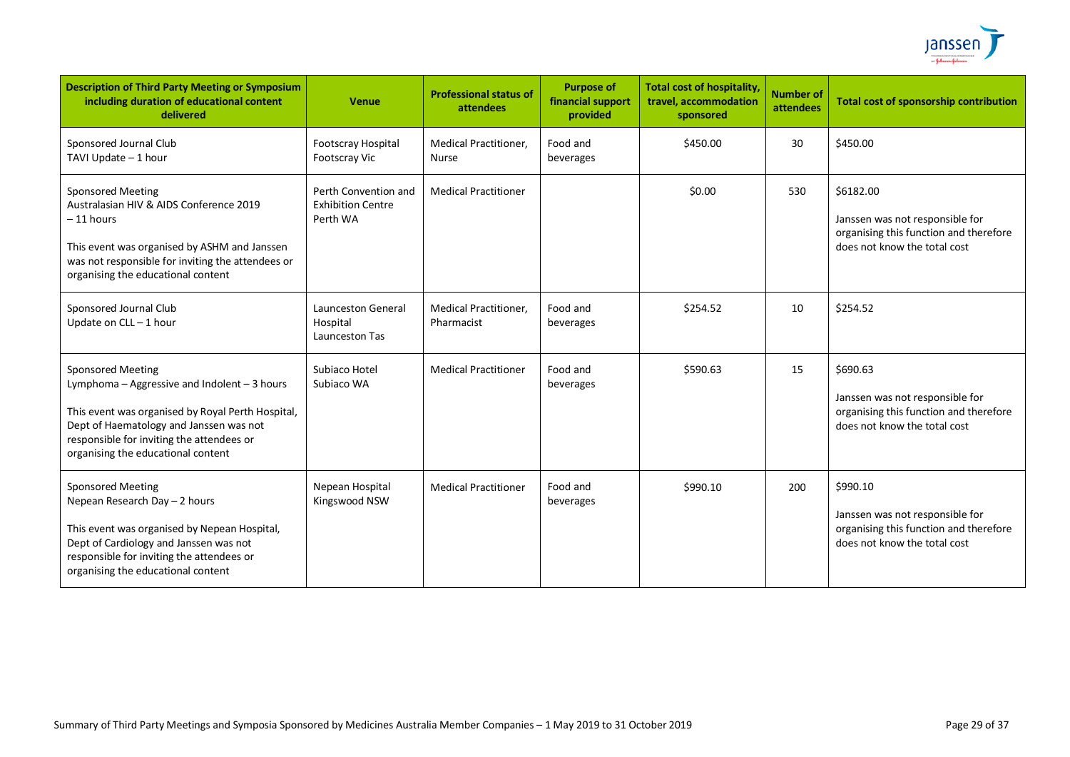

| <b>Description of Third Party Meeting or Symposium</b><br>including duration of educational content<br>delivered                                                                                                                                            | Venue                                                        | <b>Professional status of</b><br>attendees   | <b>Purpose of</b><br>financial support<br>provided | <b>Total cost of hospitality</b><br>travel, accommodation<br>sponsored | <b>Number of</b><br>attendees | <b>Total cost of sponsorship contribution</b>                                                                          |
|-------------------------------------------------------------------------------------------------------------------------------------------------------------------------------------------------------------------------------------------------------------|--------------------------------------------------------------|----------------------------------------------|----------------------------------------------------|------------------------------------------------------------------------|-------------------------------|------------------------------------------------------------------------------------------------------------------------|
| Sponsored Journal Club<br>TAVI Update - 1 hour                                                                                                                                                                                                              | Footscray Hospital<br><b>Footscray Vic</b>                   | <b>Medical Practitioner,</b><br><b>Nurse</b> | Food and<br>beverages                              | \$450.00                                                               | 30                            | \$450.00                                                                                                               |
| <b>Sponsored Meeting</b><br>Australasian HIV & AIDS Conference 2019<br>$-11$ hours<br>This event was organised by ASHM and Janssen<br>was not responsible for inviting the attendees or<br>organising the educational content                               | Perth Convention and<br><b>Exhibition Centre</b><br>Perth WA | <b>Medical Practitioner</b>                  |                                                    | \$0.00                                                                 | 530                           | \$6182.00<br>Janssen was not responsible for<br>organising this function and therefore<br>does not know the total cost |
| Sponsored Journal Club<br>Update on CLL-1 hour                                                                                                                                                                                                              | Launceston General<br>Hospital<br>Launceston Tas             | <b>Medical Practitioner,</b><br>Pharmacist   | Food and<br>beverages                              | \$254.52                                                               | 10                            | \$254.52                                                                                                               |
| <b>Sponsored Meeting</b><br>Lymphoma - Aggressive and Indolent - 3 hours<br>This event was organised by Royal Perth Hospital,<br>Dept of Haematology and Janssen was not<br>responsible for inviting the attendees or<br>organising the educational content | Subjaco Hotel<br>Subiaco WA                                  | <b>Medical Practitioner</b>                  | Food and<br>beverages                              | \$590.63                                                               | 15                            | \$690.63<br>Janssen was not responsible for<br>organising this function and therefore<br>does not know the total cost  |
| <b>Sponsored Meeting</b><br>Nepean Research Day - 2 hours<br>This event was organised by Nepean Hospital,<br>Dept of Cardiology and Janssen was not<br>responsible for inviting the attendees or<br>organising the educational content                      | Nepean Hospital<br>Kingswood NSW                             | <b>Medical Practitioner</b>                  | Food and<br>beverages                              | \$990.10                                                               | 200                           | \$990.10<br>Janssen was not responsible for<br>organising this function and therefore<br>does not know the total cost  |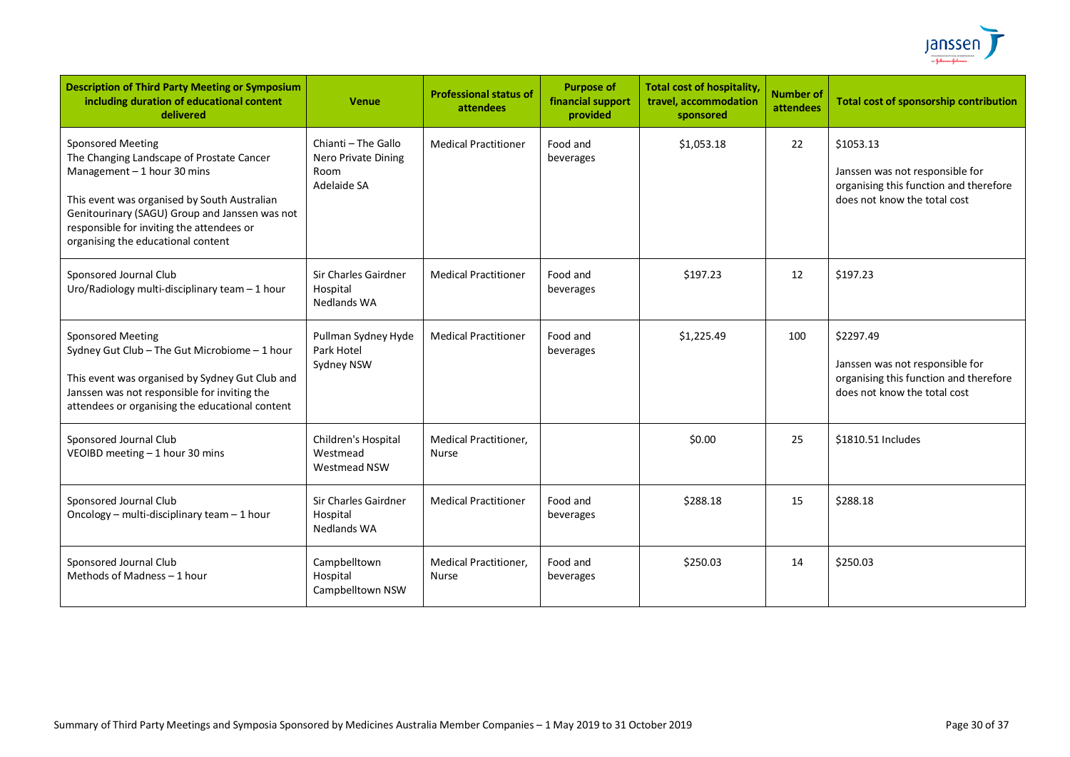

| <b>Description of Third Party Meeting or Symposium</b><br>including duration of educational content<br>delivered                                                                                                                                                                           | <b>Venue</b>                                                      | <b>Professional status of</b><br>attendees   | <b>Purpose of</b><br>financial support<br>provided | <b>Total cost of hospitality,</b><br>travel, accommodation<br>sponsored | <b>Number of</b><br>attendees | Total cost of sponsorship contribution                                                                                 |
|--------------------------------------------------------------------------------------------------------------------------------------------------------------------------------------------------------------------------------------------------------------------------------------------|-------------------------------------------------------------------|----------------------------------------------|----------------------------------------------------|-------------------------------------------------------------------------|-------------------------------|------------------------------------------------------------------------------------------------------------------------|
| <b>Sponsored Meeting</b><br>The Changing Landscape of Prostate Cancer<br>Management $-1$ hour 30 mins<br>This event was organised by South Australian<br>Genitourinary (SAGU) Group and Janssen was not<br>responsible for inviting the attendees or<br>organising the educational content | Chianti - The Gallo<br>Nero Private Dining<br>Room<br>Adelaide SA | <b>Medical Practitioner</b>                  | Food and<br>beverages                              | \$1,053.18                                                              | 22                            | \$1053.13<br>Janssen was not responsible for<br>organising this function and therefore<br>does not know the total cost |
| Sponsored Journal Club<br>Uro/Radiology multi-disciplinary team - 1 hour                                                                                                                                                                                                                   | Sir Charles Gairdner<br>Hospital<br><b>Nedlands WA</b>            | <b>Medical Practitioner</b>                  | Food and<br>beverages                              | \$197.23                                                                | 12                            | \$197.23                                                                                                               |
| <b>Sponsored Meeting</b><br>Sydney Gut Club - The Gut Microbiome - 1 hour<br>This event was organised by Sydney Gut Club and<br>Janssen was not responsible for inviting the<br>attendees or organising the educational content                                                            | Pullman Sydney Hyde<br>Park Hotel<br>Sydney NSW                   | <b>Medical Practitioner</b>                  | Food and<br>beverages                              | \$1,225.49                                                              | 100                           | \$2297.49<br>Janssen was not responsible for<br>organising this function and therefore<br>does not know the total cost |
| Sponsored Journal Club<br>VEOIBD meeting - 1 hour 30 mins                                                                                                                                                                                                                                  | Children's Hospital<br>Westmead<br>Westmead NSW                   | <b>Medical Practitioner,</b><br><b>Nurse</b> |                                                    | \$0.00                                                                  | 25                            | \$1810.51 Includes                                                                                                     |
| Sponsored Journal Club<br>Oncology - multi-disciplinary team - 1 hour                                                                                                                                                                                                                      | Sir Charles Gairdner<br>Hospital<br>Nedlands WA                   | <b>Medical Practitioner</b>                  | Food and<br>beverages                              | \$288.18                                                                | 15                            | \$288.18                                                                                                               |
| Sponsored Journal Club<br>Methods of Madness - 1 hour                                                                                                                                                                                                                                      | Campbelltown<br>Hospital<br>Campbelltown NSW                      | <b>Medical Practitioner,</b><br>Nurse        | Food and<br>beverages                              | \$250.03                                                                | 14                            | \$250.03                                                                                                               |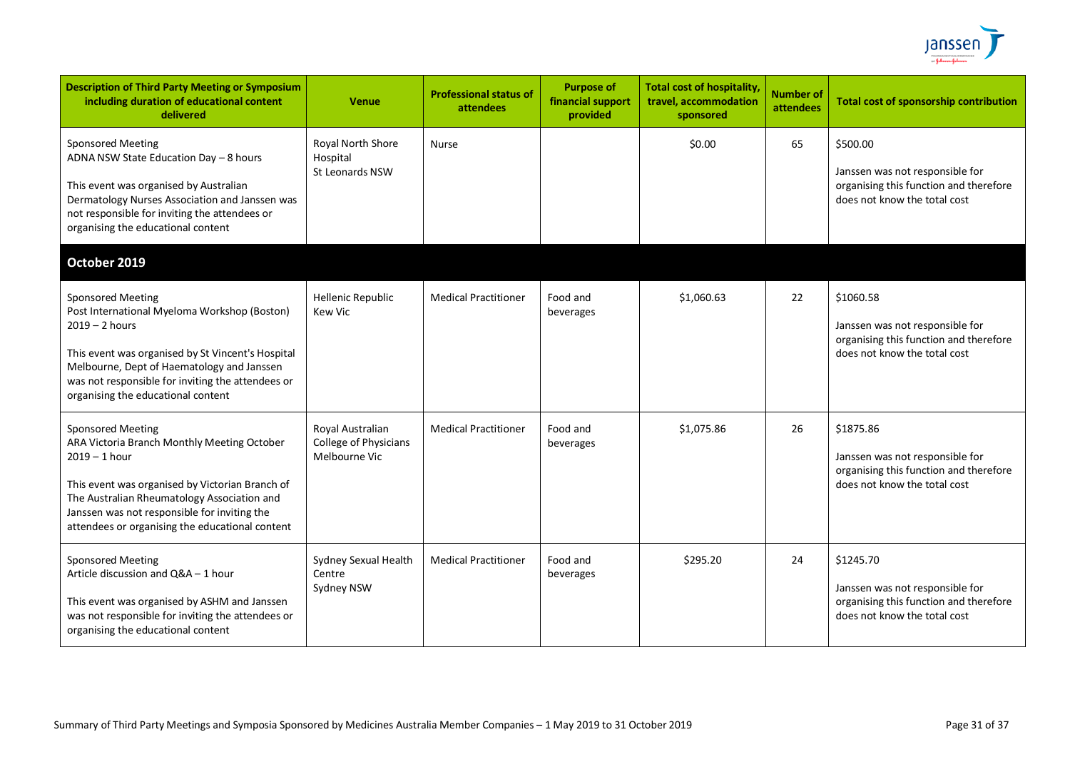

| <b>Description of Third Party Meeting or Symposium</b><br>including duration of educational content<br>delivered                                                                                                                                                                                           | <b>Venue</b>                                               | <b>Professional status of</b><br>attendees | <b>Purpose of</b><br>financial support<br>provided | <b>Total cost of hospitality</b><br>travel, accommodation<br>sponsored | <b>Number of</b><br>attendees | <b>Total cost of sponsorship contribution</b>                                                                          |
|------------------------------------------------------------------------------------------------------------------------------------------------------------------------------------------------------------------------------------------------------------------------------------------------------------|------------------------------------------------------------|--------------------------------------------|----------------------------------------------------|------------------------------------------------------------------------|-------------------------------|------------------------------------------------------------------------------------------------------------------------|
| <b>Sponsored Meeting</b><br>ADNA NSW State Education Day - 8 hours<br>This event was organised by Australian<br>Dermatology Nurses Association and Janssen was<br>not responsible for inviting the attendees or<br>organising the educational content                                                      | Royal North Shore<br>Hospital<br><b>St Leonards NSW</b>    | Nurse                                      |                                                    | \$0.00                                                                 | 65                            | \$500.00<br>Janssen was not responsible for<br>organising this function and therefore<br>does not know the total cost  |
| October 2019<br><b>Sponsored Meeting</b><br>Post International Myeloma Workshop (Boston)<br>$2019 - 2$ hours<br>This event was organised by St Vincent's Hospital<br>Melbourne, Dept of Haematology and Janssen<br>was not responsible for inviting the attendees or<br>organising the educational content | <b>Hellenic Republic</b><br><b>Kew Vic</b>                 | <b>Medical Practitioner</b>                | Food and<br>beverages                              | \$1,060.63                                                             | 22                            | \$1060.58<br>Janssen was not responsible for<br>organising this function and therefore<br>does not know the total cost |
| <b>Sponsored Meeting</b><br>ARA Victoria Branch Monthly Meeting October<br>$2019 - 1$ hour<br>This event was organised by Victorian Branch of<br>The Australian Rheumatology Association and<br>Janssen was not responsible for inviting the<br>attendees or organising the educational content            | Royal Australian<br>College of Physicians<br>Melbourne Vic | <b>Medical Practitioner</b>                | Food and<br>beverages                              | \$1,075.86                                                             | 26                            | \$1875.86<br>Janssen was not responsible for<br>organising this function and therefore<br>does not know the total cost |
| <b>Sponsored Meeting</b><br>Article discussion and Q&A - 1 hour<br>This event was organised by ASHM and Janssen<br>was not responsible for inviting the attendees or<br>organising the educational content                                                                                                 | Sydney Sexual Health<br>Centre<br>Sydney NSW               | <b>Medical Practitioner</b>                | Food and<br>beverages                              | \$295.20                                                               | 24                            | \$1245.70<br>Janssen was not responsible for<br>organising this function and therefore<br>does not know the total cost |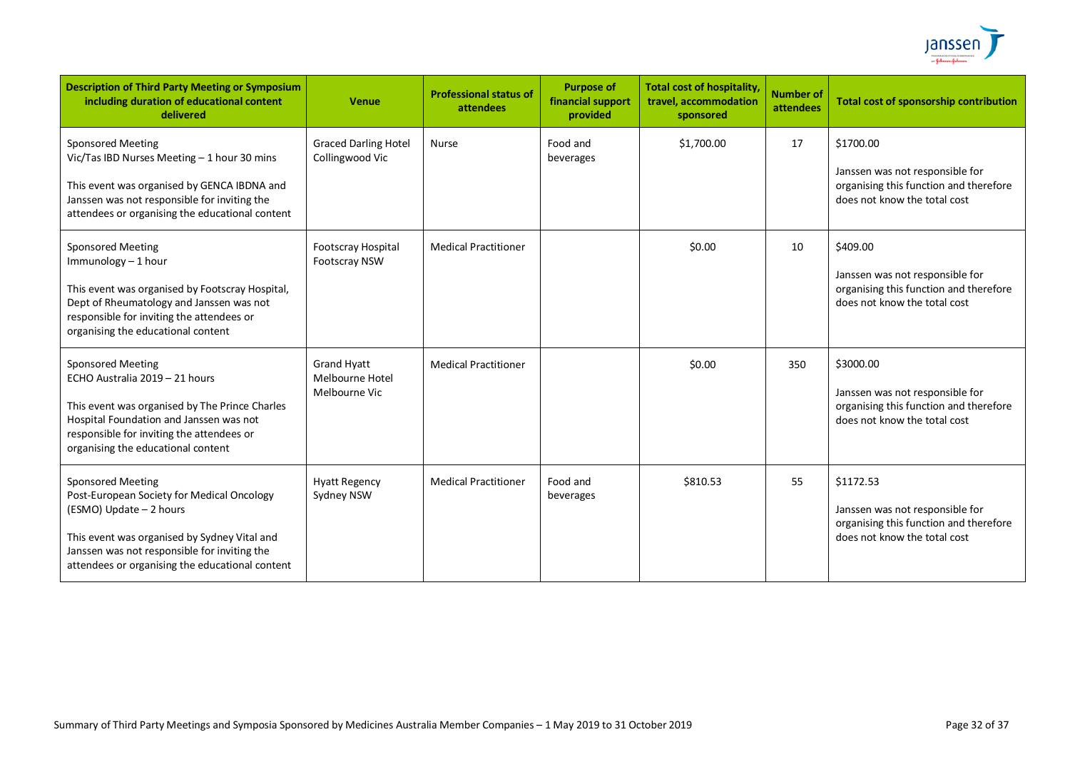

| <b>Description of Third Party Meeting or Symposium</b><br>including duration of educational content<br>delivered                                                                                                                                     | <b>Venue</b>                                           | <b>Professional status of</b><br>attendees | <b>Purpose of</b><br>financial support<br>provided | <b>Total cost of hospitality</b><br>travel, accommodation<br>sponsored | <b>Number of</b><br>attendees | <b>Total cost of sponsorship contribution</b>                                                                          |
|------------------------------------------------------------------------------------------------------------------------------------------------------------------------------------------------------------------------------------------------------|--------------------------------------------------------|--------------------------------------------|----------------------------------------------------|------------------------------------------------------------------------|-------------------------------|------------------------------------------------------------------------------------------------------------------------|
| <b>Sponsored Meeting</b><br>Vic/Tas IBD Nurses Meeting - 1 hour 30 mins<br>This event was organised by GENCA IBDNA and<br>Janssen was not responsible for inviting the<br>attendees or organising the educational content                            | <b>Graced Darling Hotel</b><br>Collingwood Vic         | <b>Nurse</b>                               | Food and<br>beverages                              | \$1,700.00                                                             | 17                            | \$1700.00<br>Janssen was not responsible for<br>organising this function and therefore<br>does not know the total cost |
| Sponsored Meeting<br>Immunology - 1 hour<br>This event was organised by Footscray Hospital,<br>Dept of Rheumatology and Janssen was not<br>responsible for inviting the attendees or<br>organising the educational content                           | Footscray Hospital<br><b>Footscray NSW</b>             | <b>Medical Practitioner</b>                |                                                    | \$0.00                                                                 | 10                            | \$409.00<br>Janssen was not responsible for<br>organising this function and therefore<br>does not know the total cost  |
| Sponsored Meeting<br>ECHO Australia 2019 - 21 hours<br>This event was organised by The Prince Charles<br>Hospital Foundation and Janssen was not<br>responsible for inviting the attendees or<br>organising the educational content                  | <b>Grand Hyatt</b><br>Melbourne Hotel<br>Melbourne Vic | <b>Medical Practitioner</b>                |                                                    | \$0.00                                                                 | 350                           | \$3000.00<br>Janssen was not responsible for<br>organising this function and therefore<br>does not know the total cost |
| <b>Sponsored Meeting</b><br>Post-European Society for Medical Oncology<br>(ESMO) Update - 2 hours<br>This event was organised by Sydney Vital and<br>Janssen was not responsible for inviting the<br>attendees or organising the educational content | <b>Hyatt Regency</b><br>Sydney NSW                     | <b>Medical Practitioner</b>                | Food and<br>beverages                              | \$810.53                                                               | 55                            | \$1172.53<br>Janssen was not responsible for<br>organising this function and therefore<br>does not know the total cost |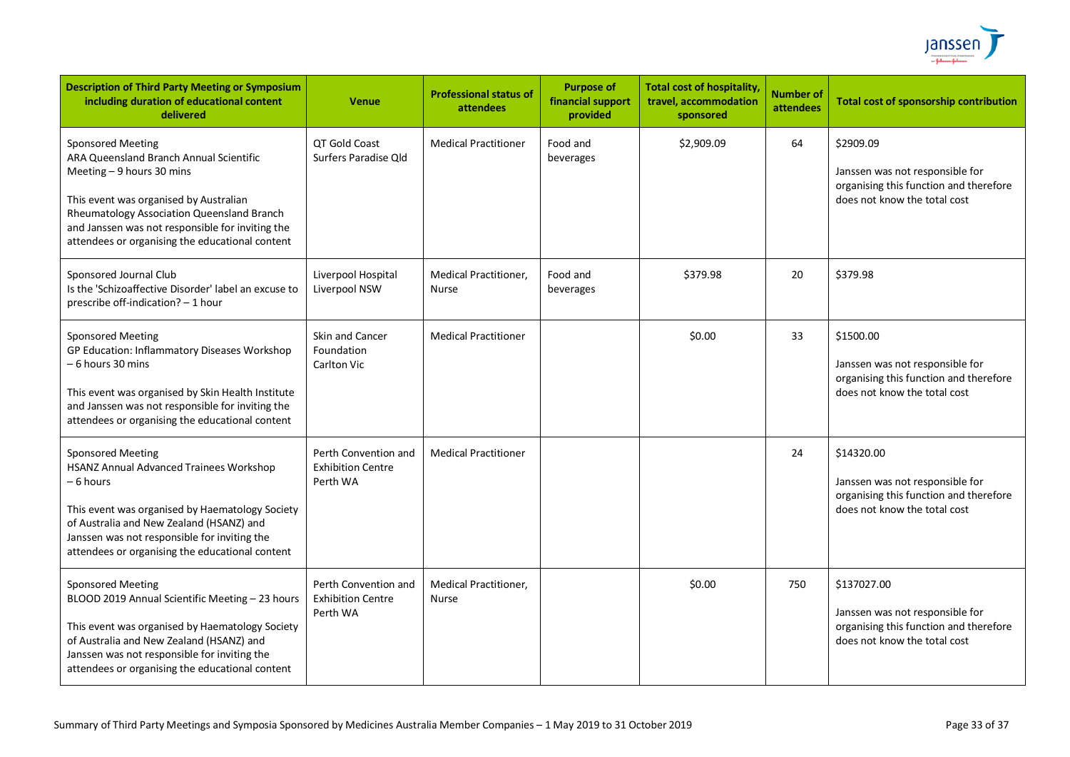

| <b>Description of Third Party Meeting or Symposium</b><br>including duration of educational content<br>delivered                                                                                                                                                                                | <b>Venue</b>                                                 | <b>Professional status of</b><br>attendees   | <b>Purpose of</b><br>financial support<br>provided | <b>Total cost of hospitality,</b><br>travel, accommodation<br>sponsored | <b>Number of</b><br><b>attendees</b> | <b>Total cost of sponsorship contribution</b>                                                                            |
|-------------------------------------------------------------------------------------------------------------------------------------------------------------------------------------------------------------------------------------------------------------------------------------------------|--------------------------------------------------------------|----------------------------------------------|----------------------------------------------------|-------------------------------------------------------------------------|--------------------------------------|--------------------------------------------------------------------------------------------------------------------------|
| <b>Sponsored Meeting</b><br>ARA Queensland Branch Annual Scientific<br>Meeting - 9 hours 30 mins<br>This event was organised by Australian<br>Rheumatology Association Queensland Branch<br>and Janssen was not responsible for inviting the<br>attendees or organising the educational content | <b>QT Gold Coast</b><br>Surfers Paradise Old                 | <b>Medical Practitioner</b>                  | Food and<br>beverages                              | \$2,909.09                                                              | 64                                   | \$2909.09<br>Janssen was not responsible for<br>organising this function and therefore<br>does not know the total cost   |
| Sponsored Journal Club<br>Is the 'Schizoaffective Disorder' label an excuse to<br>prescribe off-indication? - 1 hour                                                                                                                                                                            | Liverpool Hospital<br>Liverpool NSW                          | <b>Medical Practitioner,</b><br><b>Nurse</b> | Food and<br>beverages                              | \$379.98                                                                | 20                                   | \$379.98                                                                                                                 |
| <b>Sponsored Meeting</b><br>GP Education: Inflammatory Diseases Workshop<br>– 6 hours 30 mins<br>This event was organised by Skin Health Institute<br>and Janssen was not responsible for inviting the<br>attendees or organising the educational content                                       | Skin and Cancer<br>Foundation<br><b>Carlton Vic</b>          | <b>Medical Practitioner</b>                  |                                                    | \$0.00                                                                  | 33                                   | \$1500.00<br>Janssen was not responsible for<br>organising this function and therefore<br>does not know the total cost   |
| <b>Sponsored Meeting</b><br>HSANZ Annual Advanced Trainees Workshop<br>– 6 hours<br>This event was organised by Haematology Society<br>of Australia and New Zealand (HSANZ) and<br>Janssen was not responsible for inviting the<br>attendees or organising the educational content              | Perth Convention and<br><b>Exhibition Centre</b><br>Perth WA | <b>Medical Practitioner</b>                  |                                                    |                                                                         | 24                                   | \$14320.00<br>Janssen was not responsible for<br>organising this function and therefore<br>does not know the total cost  |
| <b>Sponsored Meeting</b><br>BLOOD 2019 Annual Scientific Meeting - 23 hours<br>This event was organised by Haematology Society<br>of Australia and New Zealand (HSANZ) and<br>Janssen was not responsible for inviting the<br>attendees or organising the educational content                   | Perth Convention and<br><b>Exhibition Centre</b><br>Perth WA | <b>Medical Practitioner,</b><br><b>Nurse</b> |                                                    | \$0.00                                                                  | 750                                  | \$137027.00<br>Janssen was not responsible for<br>organising this function and therefore<br>does not know the total cost |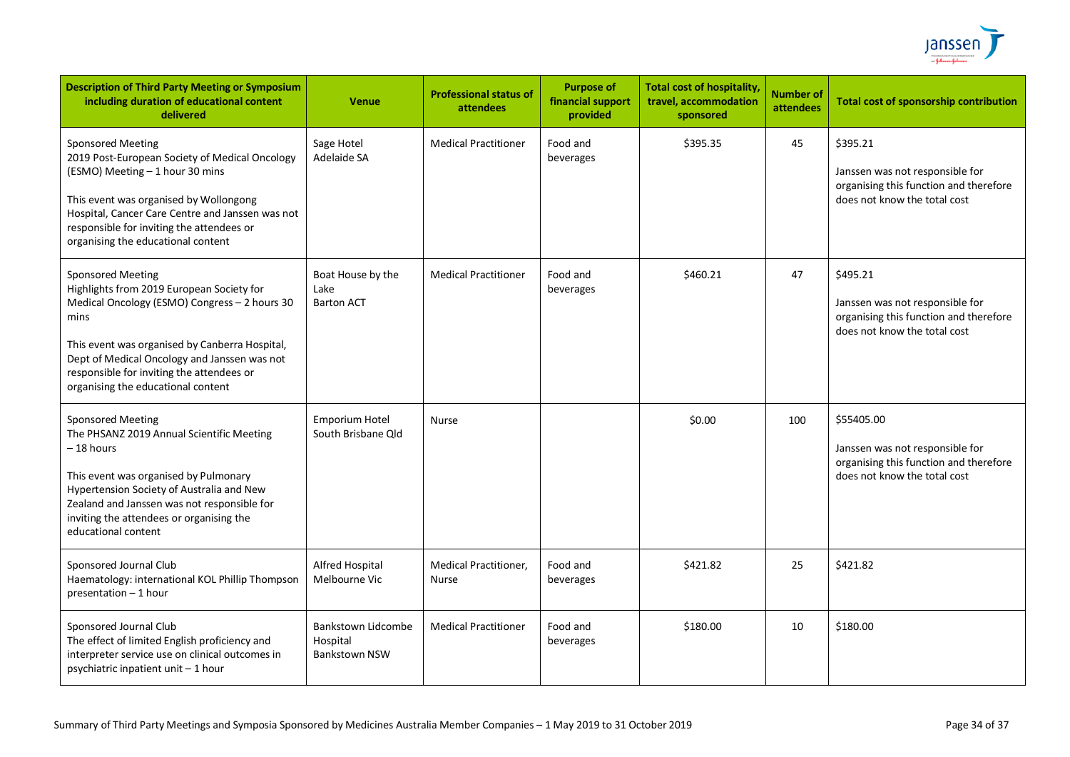

| <b>Description of Third Party Meeting or Symposium</b><br>including duration of educational content<br>delivered                                                                                                                                                                                                    | <b>Venue</b>                                                  | <b>Professional status of</b><br>attendees   | <b>Purpose of</b><br>financial support<br>provided | <b>Total cost of hospitality,</b><br>travel, accommodation<br>sponsored | <b>Number of</b><br><b>attendees</b> | <b>Total cost of sponsorship contribution</b>                                                                           |
|---------------------------------------------------------------------------------------------------------------------------------------------------------------------------------------------------------------------------------------------------------------------------------------------------------------------|---------------------------------------------------------------|----------------------------------------------|----------------------------------------------------|-------------------------------------------------------------------------|--------------------------------------|-------------------------------------------------------------------------------------------------------------------------|
| <b>Sponsored Meeting</b><br>2019 Post-European Society of Medical Oncology<br>(ESMO) Meeting - 1 hour 30 mins<br>This event was organised by Wollongong<br>Hospital, Cancer Care Centre and Janssen was not<br>responsible for inviting the attendees or<br>organising the educational content                      | Sage Hotel<br>Adelaide SA                                     | <b>Medical Practitioner</b>                  | Food and<br>beverages                              | \$395.35                                                                | 45                                   | \$395.21<br>Janssen was not responsible for<br>organising this function and therefore<br>does not know the total cost   |
| <b>Sponsored Meeting</b><br>Highlights from 2019 European Society for<br>Medical Oncology (ESMO) Congress - 2 hours 30<br>mins<br>This event was organised by Canberra Hospital,<br>Dept of Medical Oncology and Janssen was not<br>responsible for inviting the attendees or<br>organising the educational content | Boat House by the<br>Lake<br><b>Barton ACT</b>                | <b>Medical Practitioner</b>                  | Food and<br>beverages                              | \$460.21                                                                | 47                                   | \$495.21<br>Janssen was not responsible for<br>organising this function and therefore<br>does not know the total cost   |
| Sponsored Meeting<br>The PHSANZ 2019 Annual Scientific Meeting<br>– 18 hours<br>This event was organised by Pulmonary<br>Hypertension Society of Australia and New<br>Zealand and Janssen was not responsible for<br>inviting the attendees or organising the<br>educational content                                | <b>Emporium Hotel</b><br>South Brisbane Old                   | <b>Nurse</b>                                 |                                                    | \$0.00                                                                  | 100                                  | \$55405.00<br>Janssen was not responsible for<br>organising this function and therefore<br>does not know the total cost |
| Sponsored Journal Club<br>Haematology: international KOL Phillip Thompson<br>presentation - 1 hour                                                                                                                                                                                                                  | Alfred Hospital<br>Melbourne Vic                              | <b>Medical Practitioner,</b><br><b>Nurse</b> | Food and<br>beverages                              | \$421.82                                                                | 25                                   | \$421.82                                                                                                                |
| Sponsored Journal Club<br>The effect of limited English proficiency and<br>interpreter service use on clinical outcomes in<br>psychiatric inpatient unit - 1 hour                                                                                                                                                   | <b>Bankstown Lidcombe</b><br>Hospital<br><b>Bankstown NSW</b> | <b>Medical Practitioner</b>                  | Food and<br>beverages                              | \$180.00                                                                | 10                                   | \$180.00                                                                                                                |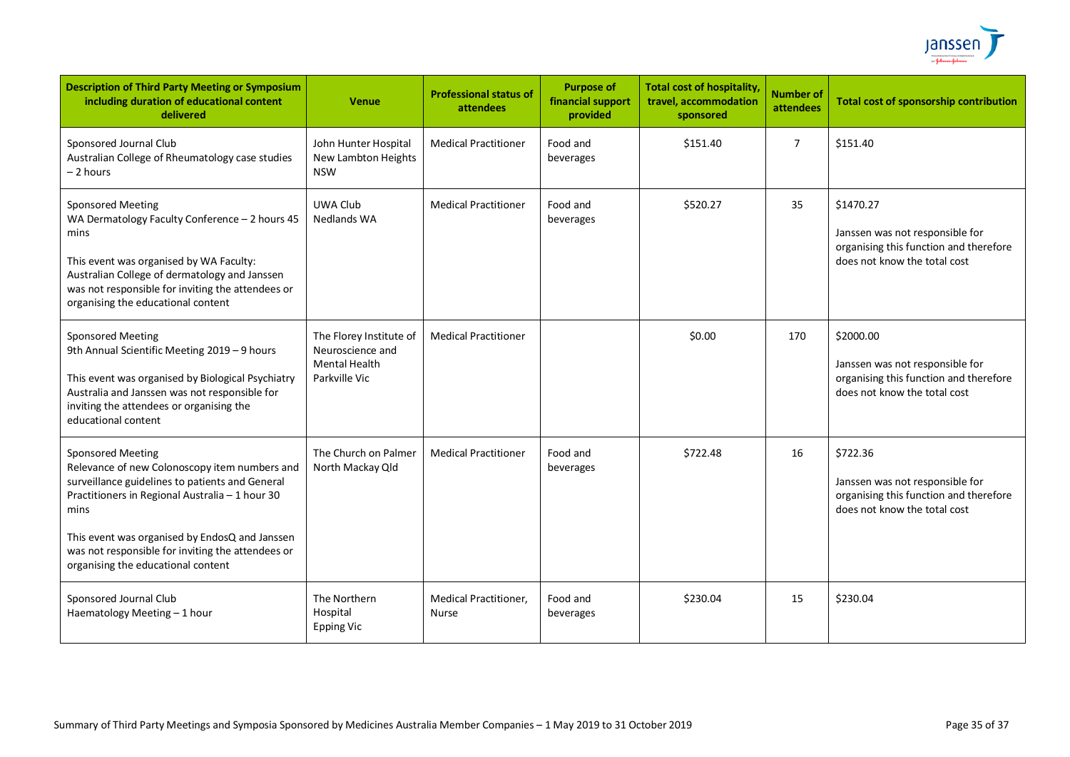

| <b>Description of Third Party Meeting or Symposium</b><br>including duration of educational content<br>delivered                                                                                                                                                                                                                     | <b>Venue</b>                                                                         | <b>Professional status of</b><br>attendees | <b>Purpose of</b><br>financial support<br>provided | <b>Total cost of hospitality,</b><br>travel, accommodation<br>sponsored | <b>Number of</b><br>attendees | <b>Total cost of sponsorship contribution</b>                                                                          |
|--------------------------------------------------------------------------------------------------------------------------------------------------------------------------------------------------------------------------------------------------------------------------------------------------------------------------------------|--------------------------------------------------------------------------------------|--------------------------------------------|----------------------------------------------------|-------------------------------------------------------------------------|-------------------------------|------------------------------------------------------------------------------------------------------------------------|
| Sponsored Journal Club<br>Australian College of Rheumatology case studies<br>- 2 hours                                                                                                                                                                                                                                               | John Hunter Hospital<br>New Lambton Heights<br><b>NSW</b>                            | <b>Medical Practitioner</b>                | Food and<br>beverages                              | \$151.40                                                                | $\overline{7}$                | \$151.40                                                                                                               |
| <b>Sponsored Meeting</b><br>WA Dermatology Faculty Conference - 2 hours 45<br>mins<br>This event was organised by WA Faculty:<br>Australian College of dermatology and Janssen<br>was not responsible for inviting the attendees or<br>organising the educational content                                                            | <b>UWA Club</b><br><b>Nedlands WA</b>                                                | <b>Medical Practitioner</b>                | Food and<br>beverages                              | \$520.27                                                                | 35                            | \$1470.27<br>Janssen was not responsible for<br>organising this function and therefore<br>does not know the total cost |
| <b>Sponsored Meeting</b><br>9th Annual Scientific Meeting 2019 - 9 hours<br>This event was organised by Biological Psychiatry<br>Australia and Janssen was not responsible for<br>inviting the attendees or organising the<br>educational content                                                                                    | The Florey Institute of<br>Neuroscience and<br><b>Mental Health</b><br>Parkville Vic | <b>Medical Practitioner</b>                |                                                    | \$0.00                                                                  | 170                           | \$2000.00<br>Janssen was not responsible for<br>organising this function and therefore<br>does not know the total cost |
| <b>Sponsored Meeting</b><br>Relevance of new Colonoscopy item numbers and<br>surveillance guidelines to patients and General<br>Practitioners in Regional Australia - 1 hour 30<br>mins<br>This event was organised by EndosQ and Janssen<br>was not responsible for inviting the attendees or<br>organising the educational content | The Church on Palmer<br>North Mackay Qld                                             | <b>Medical Practitioner</b>                | Food and<br>beverages                              | \$722.48                                                                | 16                            | \$722.36<br>Janssen was not responsible for<br>organising this function and therefore<br>does not know the total cost  |
| Sponsored Journal Club<br>Haematology Meeting - 1 hour                                                                                                                                                                                                                                                                               | The Northern<br>Hospital<br><b>Epping Vic</b>                                        | <b>Medical Practitioner,</b><br>Nurse      | Food and<br>beverages                              | \$230.04                                                                | 15                            | \$230.04                                                                                                               |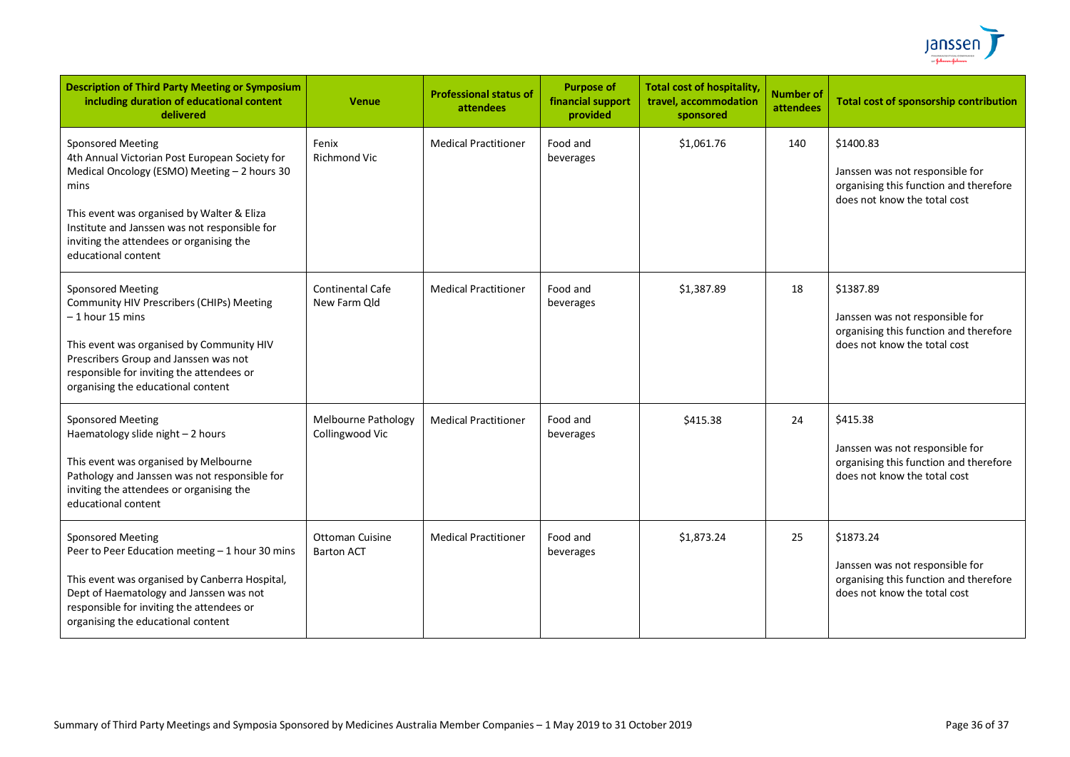

| <b>Description of Third Party Meeting or Symposium</b><br>including duration of educational content<br>delivered                                                                                                                                                                                     | <b>Venue</b>                                | <b>Professional status of</b><br>attendees | <b>Purpose of</b><br>financial support<br>provided | <b>Total cost of hospitality,</b><br>travel, accommodation<br>sponsored | <b>Number of</b><br>attendees | <b>Total cost of sponsorship contribution</b>                                                                          |
|------------------------------------------------------------------------------------------------------------------------------------------------------------------------------------------------------------------------------------------------------------------------------------------------------|---------------------------------------------|--------------------------------------------|----------------------------------------------------|-------------------------------------------------------------------------|-------------------------------|------------------------------------------------------------------------------------------------------------------------|
| <b>Sponsored Meeting</b><br>4th Annual Victorian Post European Society for<br>Medical Oncology (ESMO) Meeting - 2 hours 30<br>mins<br>This event was organised by Walter & Eliza<br>Institute and Janssen was not responsible for<br>inviting the attendees or organising the<br>educational content | Fenix<br><b>Richmond Vic</b>                | <b>Medical Practitioner</b>                | Food and<br>beverages                              | \$1,061.76                                                              | 140                           | \$1400.83<br>Janssen was not responsible for<br>organising this function and therefore<br>does not know the total cost |
| <b>Sponsored Meeting</b><br>Community HIV Prescribers (CHIPs) Meeting<br>$-1$ hour 15 mins<br>This event was organised by Community HIV<br>Prescribers Group and Janssen was not<br>responsible for inviting the attendees or<br>organising the educational content                                  | <b>Continental Cafe</b><br>New Farm Old     | <b>Medical Practitioner</b>                | Food and<br>beverages                              | \$1,387.89                                                              | 18                            | \$1387.89<br>Janssen was not responsible for<br>organising this function and therefore<br>does not know the total cost |
| <b>Sponsored Meeting</b><br>Haematology slide night - 2 hours<br>This event was organised by Melbourne<br>Pathology and Janssen was not responsible for<br>inviting the attendees or organising the<br>educational content                                                                           | Melbourne Pathology<br>Collingwood Vic      | <b>Medical Practitioner</b>                | Food and<br>beverages                              | \$415.38                                                                | 24                            | \$415.38<br>Janssen was not responsible for<br>organising this function and therefore<br>does not know the total cost  |
| <b>Sponsored Meeting</b><br>Peer to Peer Education meeting - 1 hour 30 mins<br>This event was organised by Canberra Hospital,<br>Dept of Haematology and Janssen was not<br>responsible for inviting the attendees or<br>organising the educational content                                          | <b>Ottoman Cuisine</b><br><b>Barton ACT</b> | <b>Medical Practitioner</b>                | Food and<br>beverages                              | \$1,873.24                                                              | 25                            | \$1873.24<br>Janssen was not responsible for<br>organising this function and therefore<br>does not know the total cost |